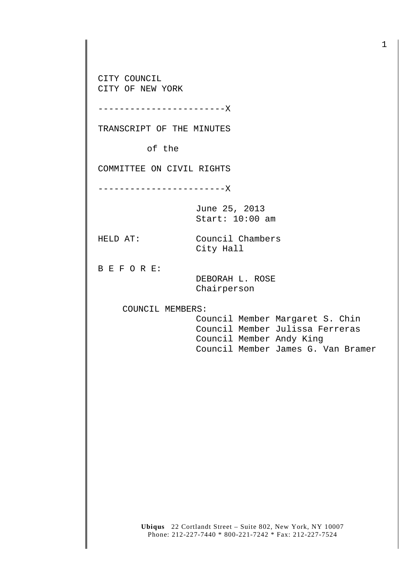CITY COUNCIL CITY OF NEW YORK

------------------------X

TRANSCRIPT OF THE MINUTES

of the

COMMITTEE ON CIVIL RIGHTS

------------------------X

June 25, 2013 Start: 10:00 am

HELD AT: Council Chambers City Hall

B E F O R E:

 DEBORAH L. ROSE Chairperson

COUNCIL MEMBERS:

 Council Member Margaret S. Chin Council Member Julissa Ferreras Council Member Andy King Council Member James G. Van Bramer

**Ubiqus** 22 Cortlandt Street – Suite 802, New York, NY 10007 Phone: 212-227-7440 \* 800-221-7242 \* Fax: 212-227-7524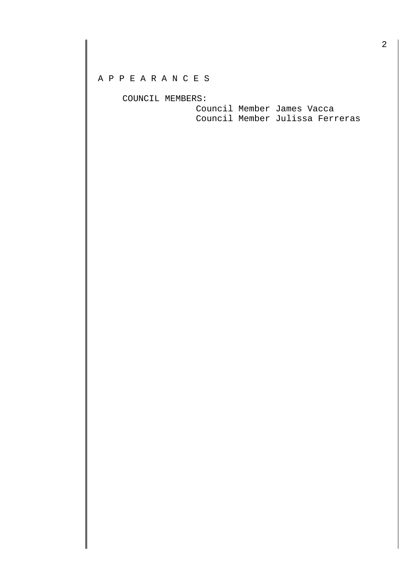## A P P E A R A N C E S

COUNCIL MEMBERS:

 Council Member James Vacca Council Member Julissa Ferreras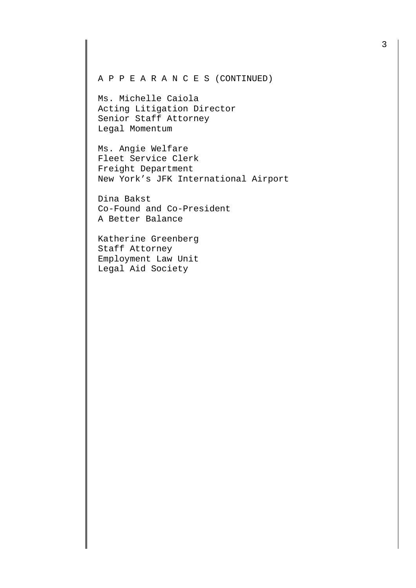## A P P E A R A N C E S (CONTINUED)

Ms. Michelle Caiola Acting Litigation Director Senior Staff Attorney Legal Momentum

Ms. Angie Welfare Fleet Service Clerk Freight Department New York's JFK International Airport

Dina Bakst Co-Found and Co-President A Better Balance

Katherine Greenberg Staff Attorney Employment Law Unit Legal Aid Society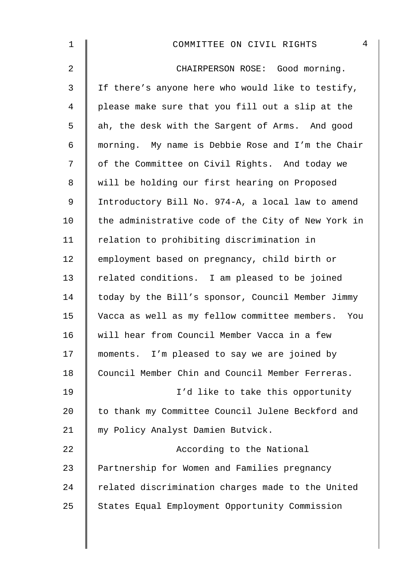| $\mathbf 1$    | 4<br>COMMITTEE ON CIVIL RIGHTS                     |
|----------------|----------------------------------------------------|
| $\overline{2}$ | CHAIRPERSON ROSE: Good morning.                    |
| $\mathfrak{Z}$ | If there's anyone here who would like to testify,  |
| $\overline{4}$ | please make sure that you fill out a slip at the   |
| 5              | ah, the desk with the Sargent of Arms. And good    |
| 6              | morning. My name is Debbie Rose and I'm the Chair  |
| 7              | of the Committee on Civil Rights. And today we     |
| 8              | will be holding our first hearing on Proposed      |
| $\mathsf 9$    | Introductory Bill No. 974-A, a local law to amend  |
| 10             | the administrative code of the City of New York in |
| 11             | relation to prohibiting discrimination in          |
| 12             | employment based on pregnancy, child birth or      |
| 13             | related conditions. I am pleased to be joined      |
| 14             | today by the Bill's sponsor, Council Member Jimmy  |
| 15             | Vacca as well as my fellow committee members. You  |
| 16             | will hear from Council Member Vacca in a few       |
| 17             | moments. I'm pleased to say we are joined by       |
| 18             | Council Member Chin and Council Member Ferreras.   |
| 19             | I'd like to take this opportunity                  |
| 20             | to thank my Committee Council Julene Beckford and  |
| 21             | my Policy Analyst Damien Butvick.                  |
| 22             | According to the National                          |
| 23             | Partnership for Women and Families pregnancy       |
| 24             | related discrimination charges made to the United  |
| 25             | States Equal Employment Opportunity Commission     |
|                |                                                    |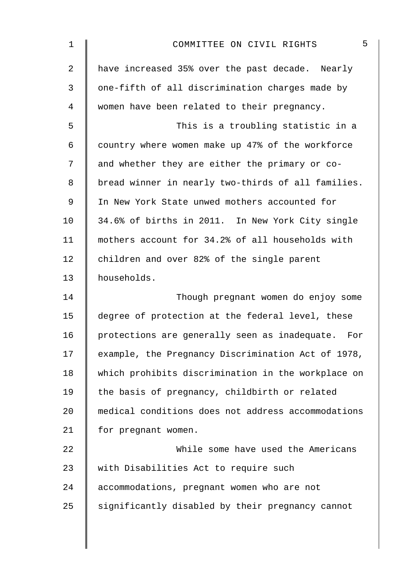| $\mathbf 1$    | 5<br>COMMITTEE ON CIVIL RIGHTS                       |
|----------------|------------------------------------------------------|
| $\overline{2}$ | have increased 35% over the past decade. Nearly      |
| 3              | one-fifth of all discrimination charges made by      |
| 4              | women have been related to their pregnancy.          |
| 5              | This is a troubling statistic in a                   |
| 6              | country where women make up 47% of the workforce     |
| 7              | and whether they are either the primary or co-       |
| 8              | bread winner in nearly two-thirds of all families.   |
| 9              | In New York State unwed mothers accounted for        |
| 10             | 34.6% of births in 2011. In New York City single     |
| 11             | mothers account for 34.2% of all households with     |
| 12             | children and over 82% of the single parent           |
| 13             | households.                                          |
| 14             | Though pregnant women do enjoy some                  |
| 15             | degree of protection at the federal level, these     |
| 16             | protections are generally seen as inadequate.<br>For |
| 17             | example, the Pregnancy Discrimination Act of 1978,   |
| 18             | which prohibits discrimination in the workplace on   |
| 19             | the basis of pregnancy, childbirth or related        |
| 20             | medical conditions does not address accommodations   |
| 21             | for pregnant women.                                  |
| 22             | While some have used the Americans                   |
| 23             | with Disabilities Act to require such                |
| 24             | accommodations, pregnant women who are not           |
| 25             | significantly disabled by their pregnancy cannot     |
|                |                                                      |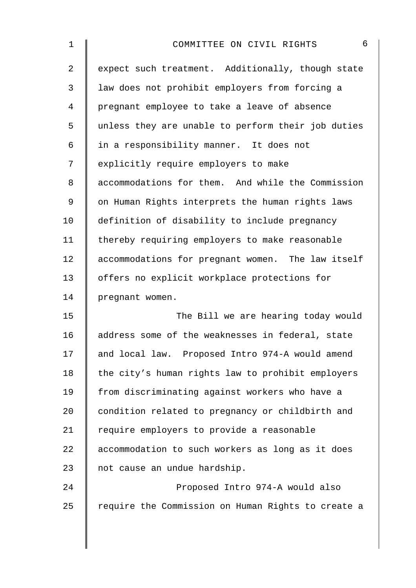| 1  | 6<br>COMMITTEE ON CIVIL RIGHTS                     |
|----|----------------------------------------------------|
| 2  | expect such treatment. Additionally, though state  |
| 3  | law does not prohibit employers from forcing a     |
| 4  | pregnant employee to take a leave of absence       |
| 5  | unless they are unable to perform their job duties |
| 6  | in a responsibility manner. It does not            |
| 7  | explicitly require employers to make               |
| 8  | accommodations for them. And while the Commission  |
| 9  | on Human Rights interprets the human rights laws   |
| 10 | definition of disability to include pregnancy      |
| 11 | thereby requiring employers to make reasonable     |
| 12 | accommodations for pregnant women. The law itself  |
| 13 | offers no explicit workplace protections for       |
| 14 | pregnant women.                                    |
| 15 | The Bill we are hearing today would                |
| 16 | address some of the weaknesses in federal, state   |
| 17 | and local law. Proposed Intro 974-A would amend    |
| 18 | the city's human rights law to prohibit employers  |
| 19 | from discriminating against workers who have a     |
| 20 | condition related to pregnancy or childbirth and   |
| 21 | require employers to provide a reasonable          |
| 22 | accommodation to such workers as long as it does   |
| 23 | not cause an undue hardship.                       |
| 24 | Proposed Intro 974-A would also                    |
| 25 | require the Commission on Human Rights to create a |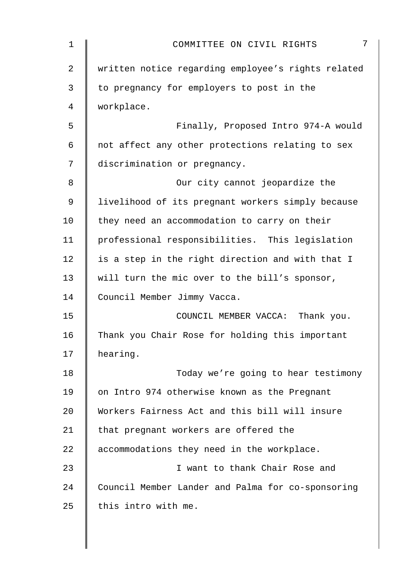| $\mathbf 1$ | 7<br>COMMITTEE ON CIVIL RIGHTS                     |
|-------------|----------------------------------------------------|
| 2           | written notice regarding employee's rights related |
| 3           | to pregnancy for employers to post in the          |
| 4           | workplace.                                         |
| 5           | Finally, Proposed Intro 974-A would                |
| 6           | not affect any other protections relating to sex   |
| 7           | discrimination or pregnancy.                       |
| 8           | Our city cannot jeopardize the                     |
| 9           | livelihood of its pregnant workers simply because  |
| 10          | they need an accommodation to carry on their       |
| 11          | professional responsibilities. This legislation    |
| 12          | is a step in the right direction and with that I   |
| 13          | will turn the mic over to the bill's sponsor,      |
| 14          | Council Member Jimmy Vacca.                        |
| 15          | COUNCIL MEMBER VACCA: Thank you.                   |
| 16          | Thank you Chair Rose for holding this important    |
| 17          | hearing.                                           |
| 18          | Today we're going to hear testimony                |
| 19          | on Intro 974 otherwise known as the Pregnant       |
| 20          | Workers Fairness Act and this bill will insure     |
| 21          | that pregnant workers are offered the              |
| 22          | accommodations they need in the workplace.         |
| 23          | I want to thank Chair Rose and                     |
| 24          | Council Member Lander and Palma for co-sponsoring  |
| 25          | this intro with me.                                |
|             |                                                    |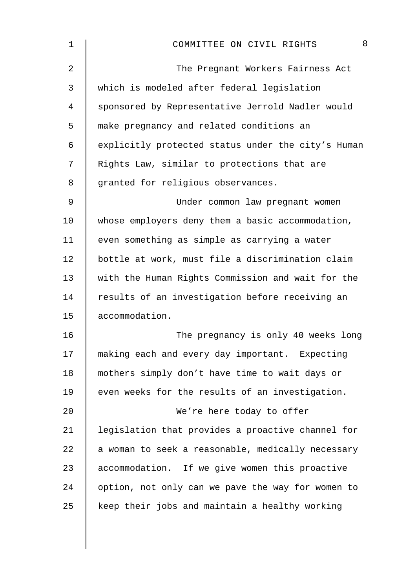| 8<br>COMMITTEE ON CIVIL RIGHTS                     |
|----------------------------------------------------|
| The Pregnant Workers Fairness Act                  |
| which is modeled after federal legislation         |
| sponsored by Representative Jerrold Nadler would   |
| make pregnancy and related conditions an           |
| explicitly protected status under the city's Human |
| Rights Law, similar to protections that are        |
| granted for religious observances.                 |
| Under common law pregnant women                    |
| whose employers deny them a basic accommodation,   |
| even something as simple as carrying a water       |
| bottle at work, must file a discrimination claim   |
| with the Human Rights Commission and wait for the  |
| results of an investigation before receiving an    |
| accommodation.                                     |
| The pregnancy is only 40 weeks long                |
| making each and every day important. Expecting     |
| mothers simply don't have time to wait days or     |
| even weeks for the results of an investigation.    |
| We're here today to offer                          |
| legislation that provides a proactive channel for  |
| a woman to seek a reasonable, medically necessary  |
| accommodation. If we give women this proactive     |
| option, not only can we pave the way for women to  |
| keep their jobs and maintain a healthy working     |
|                                                    |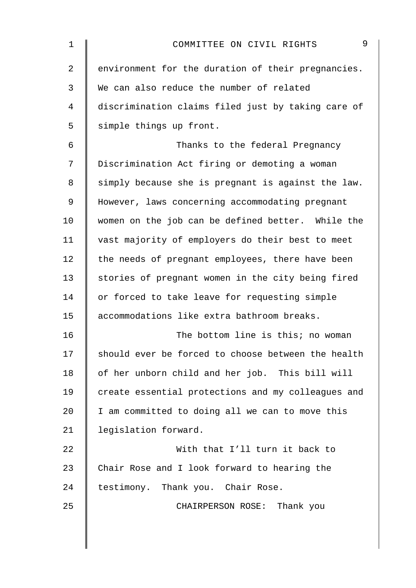| 1  | 9<br>COMMITTEE ON CIVIL RIGHTS                     |
|----|----------------------------------------------------|
| 2  | environment for the duration of their pregnancies. |
| 3  | We can also reduce the number of related           |
| 4  | discrimination claims filed just by taking care of |
| 5  | simple things up front.                            |
| 6  | Thanks to the federal Pregnancy                    |
| 7  | Discrimination Act firing or demoting a woman      |
| 8  | simply because she is pregnant is against the law. |
| 9  | However, laws concerning accommodating pregnant    |
| 10 | women on the job can be defined better. While the  |
| 11 | vast majority of employers do their best to meet   |
| 12 | the needs of pregnant employees, there have been   |
| 13 | stories of pregnant women in the city being fired  |
| 14 | or forced to take leave for requesting simple      |
| 15 | accommodations like extra bathroom breaks.         |
| 16 | The bottom line is this; no woman                  |
| 17 | should ever be forced to choose between the health |
| 18 | of her unborn child and her job. This bill will    |
| 19 | create essential protections and my colleagues and |
| 20 | I am committed to doing all we can to move this    |
| 21 | legislation forward.                               |
| 22 | With that I'll turn it back to                     |
| 23 | Chair Rose and I look forward to hearing the       |
| 24 | testimony. Thank you. Chair Rose.                  |
| 25 | CHAIRPERSON ROSE: Thank you                        |
|    |                                                    |
|    |                                                    |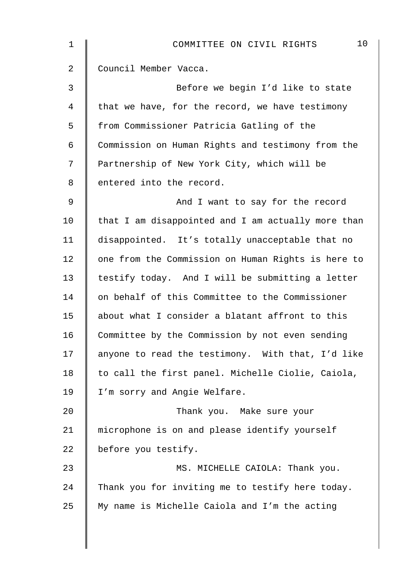| 1  | 10<br>COMMITTEE ON CIVIL RIGHTS                    |
|----|----------------------------------------------------|
| 2  | Council Member Vacca.                              |
| 3  | Before we begin I'd like to state                  |
| 4  | that we have, for the record, we have testimony    |
| 5  | from Commissioner Patricia Gatling of the          |
| 6  | Commission on Human Rights and testimony from the  |
| 7  | Partnership of New York City, which will be        |
| 8  | entered into the record.                           |
| 9  | And I want to say for the record                   |
| 10 | that I am disappointed and I am actually more than |
| 11 | disappointed. It's totally unacceptable that no    |
| 12 | one from the Commission on Human Rights is here to |
| 13 | testify today. And I will be submitting a letter   |
| 14 | on behalf of this Committee to the Commissioner    |
| 15 | about what I consider a blatant affront to this    |
| 16 | Committee by the Commission by not even sending    |
| 17 | anyone to read the testimony. With that, I'd like  |
| 18 | to call the first panel. Michelle Ciolie, Caiola,  |
| 19 | I'm sorry and Angie Welfare.                       |
| 20 | Thank you. Make sure your                          |
| 21 | microphone is on and please identify yourself      |
| 22 | before you testify.                                |
| 23 | MS. MICHELLE CAIOLA: Thank you.                    |
| 24 | Thank you for inviting me to testify here today.   |
| 25 | My name is Michelle Caiola and I'm the acting      |
|    |                                                    |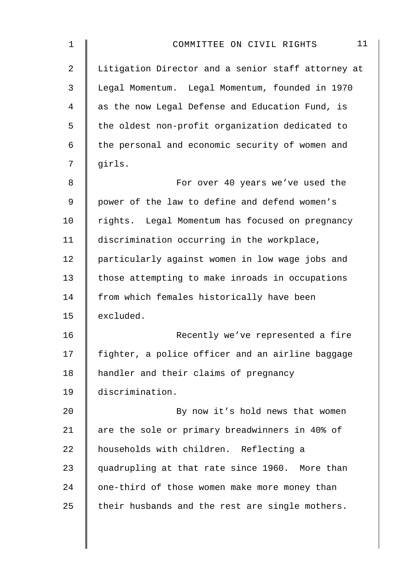| 1              | 11<br>COMMITTEE ON CIVIL RIGHTS                    |
|----------------|----------------------------------------------------|
| $\overline{a}$ | Litigation Director and a senior staff attorney at |
| 3              | Legal Momentum. Legal Momentum, founded in 1970    |
| 4              | as the now Legal Defense and Education Fund, is    |
| 5              | the oldest non-profit organization dedicated to    |
| 6              | the personal and economic security of women and    |
| 7              | girls.                                             |
| 8              | For over 40 years we've used the                   |
| 9              | power of the law to define and defend women's      |
| 10             | rights. Legal Momentum has focused on pregnancy    |
| 11             | discrimination occurring in the workplace,         |
| 12             | particularly against women in low wage jobs and    |
| 13             | those attempting to make inroads in occupations    |
| 14             | from which females historically have been          |
| 15             | excluded.                                          |
| 16             | Recently we've represented a fire                  |
| 17             | fighter, a police officer and an airline baggage   |
| 18             | handler and their claims of pregnancy              |
| 19             | discrimination.                                    |
| 20             | By now it's hold news that women                   |
| 21             | are the sole or primary breadwinners in 40% of     |
| 22             | households with children. Reflecting a             |
| 23             | quadrupling at that rate since 1960. More than     |
| 24             | one-third of those women make more money than      |
| 25             | their husbands and the rest are single mothers.    |
|                |                                                    |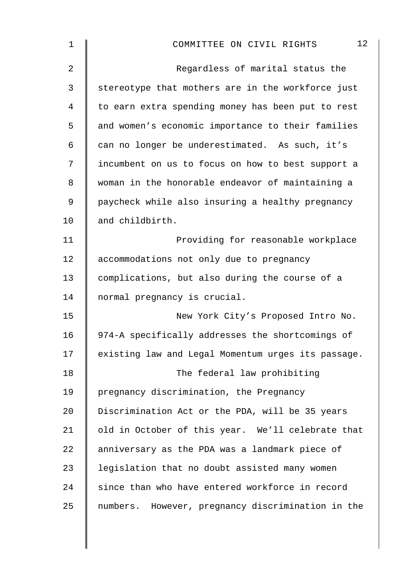| $\mathbf 1$ | 12<br>COMMITTEE ON CIVIL RIGHTS                    |
|-------------|----------------------------------------------------|
| 2           | Regardless of marital status the                   |
| 3           | stereotype that mothers are in the workforce just  |
| 4           | to earn extra spending money has been put to rest  |
| 5           | and women's economic importance to their families  |
| 6           | can no longer be underestimated. As such, it's     |
| 7           | incumbent on us to focus on how to best support a  |
| 8           | woman in the honorable endeavor of maintaining a   |
| 9           | paycheck while also insuring a healthy pregnancy   |
| 10          | and childbirth.                                    |
| 11          | Providing for reasonable workplace                 |
| 12          | accommodations not only due to pregnancy           |
| 13          | complications, but also during the course of a     |
| 14          | normal pregnancy is crucial.                       |
| 15          | New York City's Proposed Intro No.                 |
| 16          | 974-A specifically addresses the shortcomings of   |
| 17          | existing law and Legal Momentum urges its passage. |
| 18          | The federal law prohibiting                        |
| 19          | pregnancy discrimination, the Pregnancy            |
| 20          | Discrimination Act or the PDA, will be 35 years    |
| 21          | old in October of this year. We'll celebrate that  |
| 22          | anniversary as the PDA was a landmark piece of     |
| 23          | legislation that no doubt assisted many women      |
| 24          | since than who have entered workforce in record    |
| 25          | numbers. However, pregnancy discrimination in the  |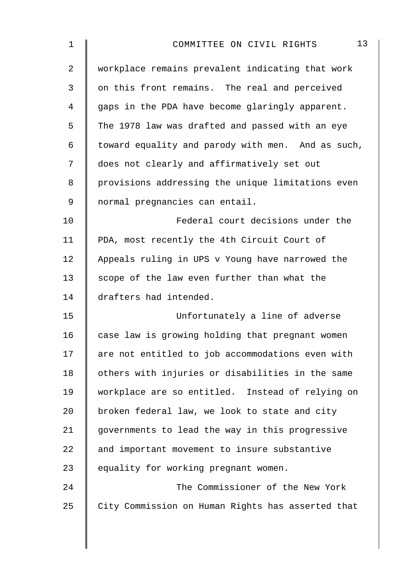| 13<br>COMMITTEE ON CIVIL RIGHTS                   |
|---------------------------------------------------|
| workplace remains prevalent indicating that work  |
| on this front remains. The real and perceived     |
| gaps in the PDA have become glaringly apparent.   |
| The 1978 law was drafted and passed with an eye   |
| toward equality and parody with men. And as such, |
| does not clearly and affirmatively set out        |
| provisions addressing the unique limitations even |
| normal pregnancies can entail.                    |
| Federal court decisions under the                 |
| PDA, most recently the 4th Circuit Court of       |
| Appeals ruling in UPS v Young have narrowed the   |
| scope of the law even further than what the       |
| drafters had intended.                            |
| Unfortunately a line of adverse                   |
| case law is growing holding that pregnant women   |
| are not entitled to job accommodations even with  |
| others with injuries or disabilities in the same  |
| workplace are so entitled. Instead of relying on  |
| broken federal law, we look to state and city     |
| governments to lead the way in this progressive   |
| and important movement to insure substantive      |
| equality for working pregnant women.              |
| The Commissioner of the New York                  |
| City Commission on Human Rights has asserted that |
|                                                   |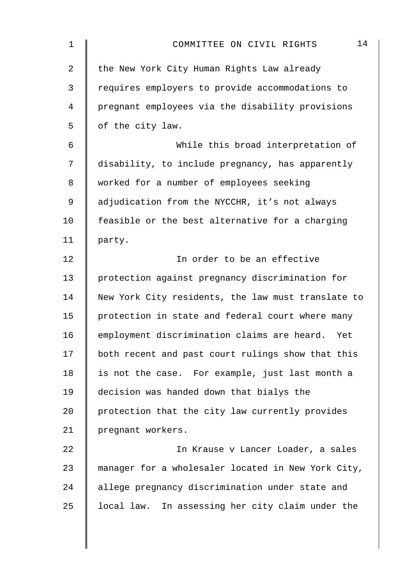| 1              | 14<br>COMMITTEE ON CIVIL RIGHTS                    |
|----------------|----------------------------------------------------|
| $\overline{a}$ | the New York City Human Rights Law already         |
| $\mathfrak{Z}$ | requires employers to provide accommodations to    |
| 4              | pregnant employees via the disability provisions   |
| 5              | of the city law.                                   |
| 6              | While this broad interpretation of                 |
| 7              | disability, to include pregnancy, has apparently   |
| 8              | worked for a number of employees seeking           |
| 9              | adjudication from the NYCCHR, it's not always      |
| 10             | feasible or the best alternative for a charging    |
| 11             | party.                                             |
| 12             | In order to be an effective                        |
| 13             | protection against pregnancy discrimination for    |
| 14             | New York City residents, the law must translate to |
| 15             | protection in state and federal court where many   |
| 16             | employment discrimination claims are heard. Yet    |
| 17             | both recent and past court rulings show that this  |
| 18             | is not the case. For example, just last month a    |
| 19             | decision was handed down that bialys the           |
| 20             | protection that the city law currently provides    |
| 21             | pregnant workers.                                  |
| 22             | In Krause v Lancer Loader, a sales                 |
| 23             | manager for a wholesaler located in New York City, |
| 24             | allege pregnancy discrimination under state and    |
| 25             | local law. In assessing her city claim under the   |
|                |                                                    |
|                |                                                    |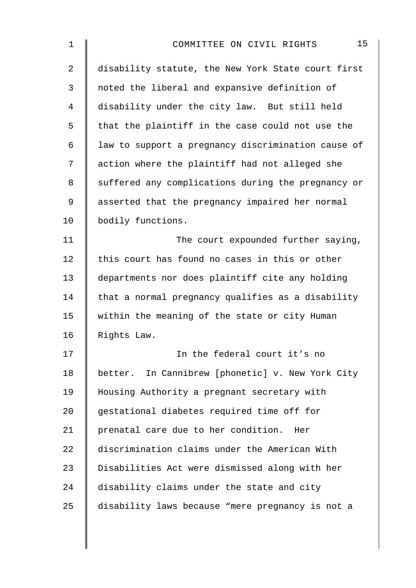| 15<br>COMMITTEE ON CIVIL RIGHTS                    |
|----------------------------------------------------|
| disability statute, the New York State court first |
| noted the liberal and expansive definition of      |
| disability under the city law. But still held      |
| that the plaintiff in the case could not use the   |
| law to support a pregnancy discrimination cause of |
| action where the plaintiff had not alleged she     |
| suffered any complications during the pregnancy or |
| asserted that the pregnancy impaired her normal    |
| bodily functions.                                  |
| The court expounded further saying,                |
| this court has found no cases in this or other     |
| departments nor does plaintiff cite any holding    |
| that a normal pregnancy qualifies as a disability  |
| within the meaning of the state or city Human      |
| Rights Law.                                        |
| In the federal court it's no                       |
| better. In Cannibrew [phonetic] v. New York City   |
| Housing Authority a pregnant secretary with        |
| gestational diabetes required time off for         |
| prenatal care due to her condition. Her            |
| discrimination claims under the American With      |
| Disabilities Act were dismissed along with her     |
| disability claims under the state and city         |
| disability laws because "mere pregnancy is not a   |
|                                                    |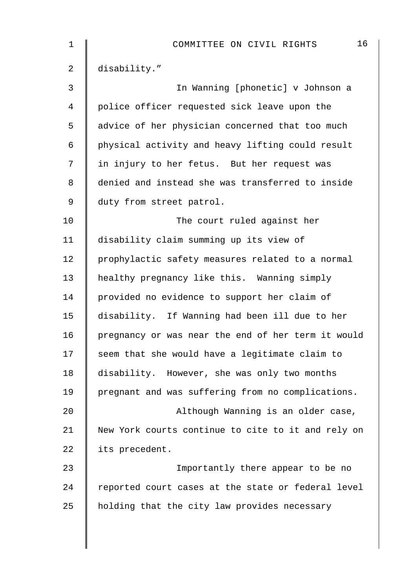| 1  | 16<br>COMMITTEE ON CIVIL RIGHTS                    |
|----|----------------------------------------------------|
| 2  | disability."                                       |
| 3  | In Wanning [phonetic] v Johnson a                  |
| 4  | police officer requested sick leave upon the       |
| 5  | advice of her physician concerned that too much    |
| 6  | physical activity and heavy lifting could result   |
| 7  | in injury to her fetus. But her request was        |
| 8  | denied and instead she was transferred to inside   |
| 9  | duty from street patrol.                           |
| 10 | The court ruled against her                        |
| 11 | disability claim summing up its view of            |
| 12 | prophylactic safety measures related to a normal   |
| 13 | healthy pregnancy like this. Wanning simply        |
| 14 | provided no evidence to support her claim of       |
| 15 | disability. If Wanning had been ill due to her     |
| 16 | pregnancy or was near the end of her term it would |
| 17 | seem that she would have a legitimate claim to     |
| 18 | disability. However, she was only two months       |
| 19 | pregnant and was suffering from no complications.  |
| 20 | Although Wanning is an older case,                 |
| 21 | New York courts continue to cite to it and rely on |
| 22 | its precedent.                                     |
| 23 | Importantly there appear to be no                  |
| 24 | reported court cases at the state or federal level |
| 25 | holding that the city law provides necessary       |
|    |                                                    |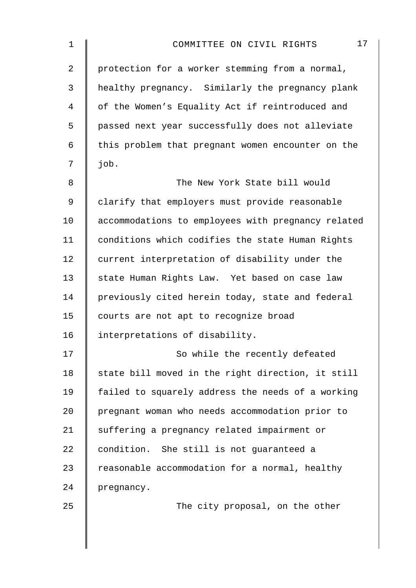| 1              | 17<br>COMMITTEE ON CIVIL RIGHTS                    |
|----------------|----------------------------------------------------|
| $\overline{a}$ | protection for a worker stemming from a normal,    |
| 3              | healthy pregnancy. Similarly the pregnancy plank   |
| $\overline{4}$ | of the Women's Equality Act if reintroduced and    |
| 5              | passed next year successfully does not alleviate   |
| 6              | this problem that pregnant women encounter on the  |
| 7              | job.                                               |
| 8              | The New York State bill would                      |
| $\mathsf 9$    | clarify that employers must provide reasonable     |
| 10             | accommodations to employees with pregnancy related |
| 11             | conditions which codifies the state Human Rights   |
| 12             | current interpretation of disability under the     |
| 13             | state Human Rights Law. Yet based on case law      |
| 14             | previously cited herein today, state and federal   |
| 15             | courts are not apt to recognize broad              |
| 16             | interpretations of disability.                     |
| 17             | So while the recently defeated                     |
| 18             | state bill moved in the right direction, it still  |
| 19             | failed to squarely address the needs of a working  |
| 20             | pregnant woman who needs accommodation prior to    |
| 21             | suffering a pregnancy related impairment or        |
| 22             | condition. She still is not guaranteed a           |
| 23             | reasonable accommodation for a normal, healthy     |
| 24             | pregnancy.                                         |
| 25             | The city proposal, on the other                    |
|                |                                                    |
|                |                                                    |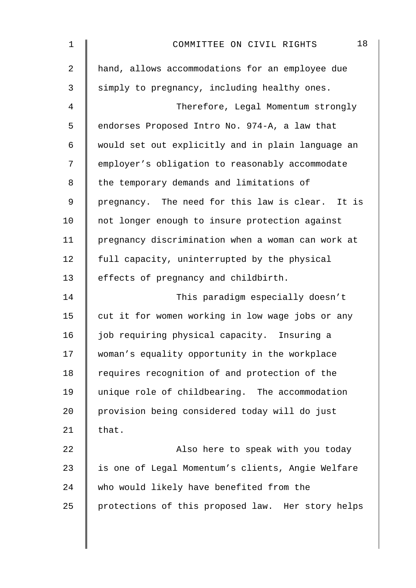| $\mathbf 1$    | 18<br>COMMITTEE ON CIVIL RIGHTS                   |
|----------------|---------------------------------------------------|
| $\overline{2}$ | hand, allows accommodations for an employee due   |
| 3              | simply to pregnancy, including healthy ones.      |
| 4              | Therefore, Legal Momentum strongly                |
| 5              | endorses Proposed Intro No. 974-A, a law that     |
| 6              | would set out explicitly and in plain language an |
| 7              | employer's obligation to reasonably accommodate   |
| 8              | the temporary demands and limitations of          |
| 9              | pregnancy. The need for this law is clear. It is  |
| 10             | not longer enough to insure protection against    |
| 11             | pregnancy discrimination when a woman can work at |
| 12             | full capacity, uninterrupted by the physical      |
| 13             | effects of pregnancy and childbirth.              |
| 14             | This paradigm especially doesn't                  |
| 15             | cut it for women working in low wage jobs or any  |
| 16             | job requiring physical capacity. Insuring a       |
| 17             | woman's equality opportunity in the workplace     |
| 18             | requires recognition of and protection of the     |
| 19             | unique role of childbearing. The accommodation    |
| 20             | provision being considered today will do just     |
| 21             | that.                                             |
| 22             | Also here to speak with you today                 |
| 23             | is one of Legal Momentum's clients, Angie Welfare |
| 24             | who would likely have benefited from the          |
| 25             | protections of this proposed law. Her story helps |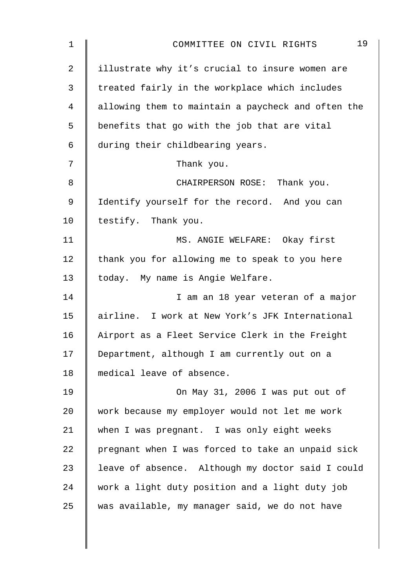| $\mathbf 1$    | 19<br>COMMITTEE ON CIVIL RIGHTS                    |
|----------------|----------------------------------------------------|
| $\overline{a}$ | illustrate why it's crucial to insure women are    |
| $\mathfrak{Z}$ | treated fairly in the workplace which includes     |
| 4              | allowing them to maintain a paycheck and often the |
| 5              | benefits that go with the job that are vital       |
| 6              | during their childbearing years.                   |
| 7              | Thank you.                                         |
| 8              | CHAIRPERSON ROSE: Thank you.                       |
| 9              | Identify yourself for the record. And you can      |
| 10             | testify. Thank you.                                |
| 11             | MS. ANGIE WELFARE: Okay first                      |
| 12             | thank you for allowing me to speak to you here     |
| 13             | today. My name is Angie Welfare.                   |
| 14             | I am an 18 year veteran of a major                 |
| 15             | airline. I work at New York's JFK International    |
| 16             | Airport as a Fleet Service Clerk in the Freight    |
| 17             | Department, although I am currently out on a       |
| 18             | medical leave of absence.                          |
| 19             | On May 31, 2006 I was put out of                   |
| 20             | work because my employer would not let me work     |
| 21             | when I was pregnant. I was only eight weeks        |
| 22             | pregnant when I was forced to take an unpaid sick  |
| 23             | leave of absence. Although my doctor said I could  |
| 24             | work a light duty position and a light duty job    |
| 25             | was available, my manager said, we do not have     |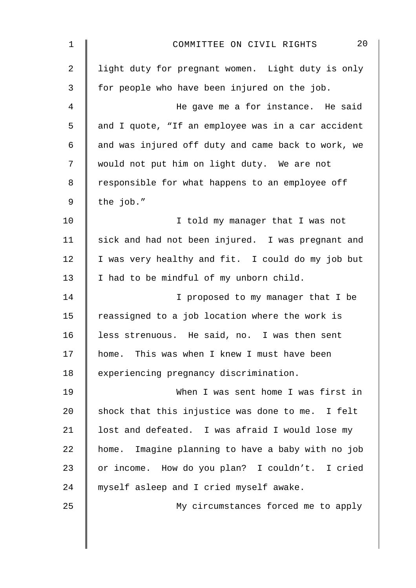| $\mathbf 1$    | 20<br>COMMITTEE ON CIVIL RIGHTS                    |
|----------------|----------------------------------------------------|
| $\overline{2}$ | light duty for pregnant women. Light duty is only  |
| 3              | for people who have been injured on the job.       |
| 4              | He gave me a for instance. He said                 |
| 5              | and I quote, "If an employee was in a car accident |
| 6              | and was injured off duty and came back to work, we |
| 7              | would not put him on light duty. We are not        |
| 8              | responsible for what happens to an employee off    |
| 9              | the job."                                          |
| 10             | I told my manager that I was not                   |
| 11             | sick and had not been injured. I was pregnant and  |
| 12             | I was very healthy and fit. I could do my job but  |
| 13             | I had to be mindful of my unborn child.            |
| 14             | I proposed to my manager that I be                 |
| 15             | reassigned to a job location where the work is     |
| 16             | less strenuous. He said, no. I was then sent       |
| 17             | home. This was when I knew I must have been        |
| 18             | experiencing pregnancy discrimination.             |
| 19             | When I was sent home I was first in                |
| 20             | shock that this injustice was done to me. I felt   |
| 21             | lost and defeated. I was afraid I would lose my    |
| 22             | home. Imagine planning to have a baby with no job  |
| 23             | or income. How do you plan? I couldn't. I cried    |
| 24             | myself asleep and I cried myself awake.            |
| 25             | My circumstances forced me to apply                |
|                |                                                    |
|                |                                                    |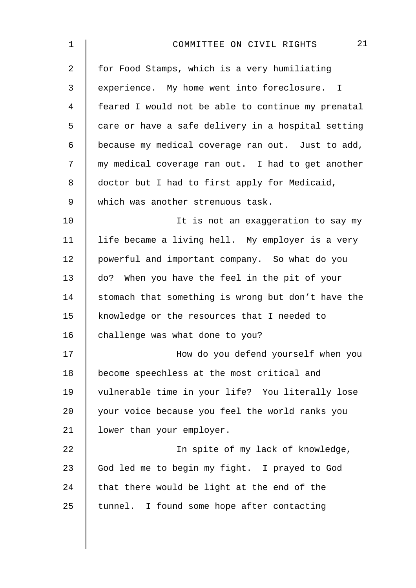| $\mathbf 1$    | 21<br>COMMITTEE ON CIVIL RIGHTS                    |
|----------------|----------------------------------------------------|
| $\overline{2}$ | for Food Stamps, which is a very humiliating       |
| 3              | experience. My home went into foreclosure. I       |
| $\overline{4}$ | feared I would not be able to continue my prenatal |
| 5              | care or have a safe delivery in a hospital setting |
| 6              | because my medical coverage ran out. Just to add,  |
| 7              | my medical coverage ran out. I had to get another  |
| 8              | doctor but I had to first apply for Medicaid,      |
| $\mathsf 9$    | which was another strenuous task.                  |
| 10             | It is not an exaggeration to say my                |
| 11             | life became a living hell. My employer is a very   |
| 12             | powerful and important company. So what do you     |
| 13             | do? When you have the feel in the pit of your      |
| 14             | stomach that something is wrong but don't have the |
| 15             | knowledge or the resources that I needed to        |
| 16             | challenge was what done to you?                    |
| 17             | How do you defend yourself when you                |
| 18             | become speechless at the most critical and         |
| 19             | vulnerable time in your life? You literally lose   |
| 20             | your voice because you feel the world ranks you    |
| 21             | lower than your employer.                          |
| 22             | In spite of my lack of knowledge,                  |
| 23             | God led me to begin my fight. I prayed to God      |
| 24             | that there would be light at the end of the        |
| 25             | tunnel. I found some hope after contacting         |
|                |                                                    |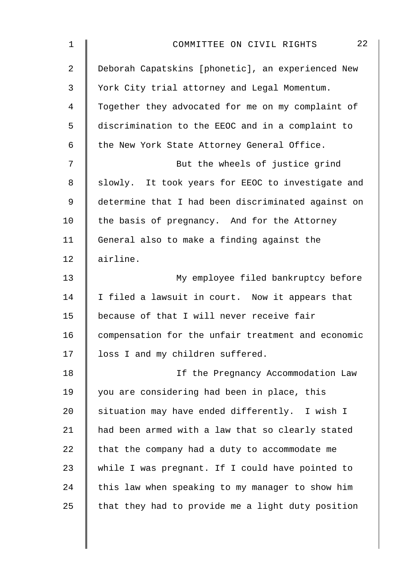| $\mathbf 1$    | 22<br>COMMITTEE ON CIVIL RIGHTS                    |
|----------------|----------------------------------------------------|
| $\overline{2}$ | Deborah Capatskins [phonetic], an experienced New  |
| 3              | York City trial attorney and Legal Momentum.       |
| 4              | Together they advocated for me on my complaint of  |
| 5              | discrimination to the EEOC and in a complaint to   |
| 6              | the New York State Attorney General Office.        |
| 7              | But the wheels of justice grind                    |
| 8              | slowly. It took years for EEOC to investigate and  |
| 9              | determine that I had been discriminated against on |
| 10             | the basis of pregnancy. And for the Attorney       |
| 11             | General also to make a finding against the         |
| 12             | airline.                                           |
| 13             | My employee filed bankruptcy before                |
| 14             | I filed a lawsuit in court. Now it appears that    |
| 15             | because of that I will never receive fair          |
| 16             | compensation for the unfair treatment and economic |
| 17             | loss I and my children suffered.                   |
| 18             | If the Pregnancy Accommodation Law                 |
| 19             | you are considering had been in place, this        |
| 20             | situation may have ended differently. I wish I     |
| 21             | had been armed with a law that so clearly stated   |
| 22             | that the company had a duty to accommodate me      |
| 23             | while I was pregnant. If I could have pointed to   |
| 24             | this law when speaking to my manager to show him   |
| 25             | that they had to provide me a light duty position  |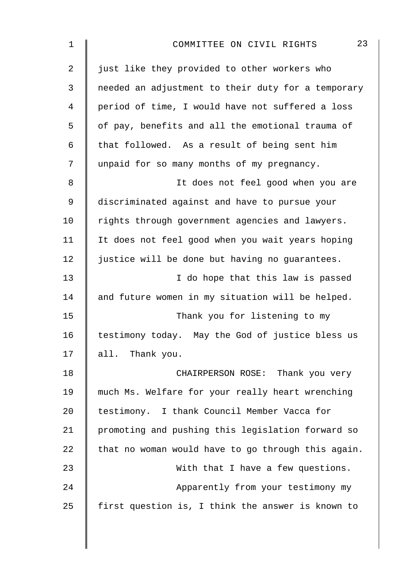| 23<br>COMMITTEE ON CIVIL RIGHTS                    |
|----------------------------------------------------|
| just like they provided to other workers who       |
| needed an adjustment to their duty for a temporary |
| period of time, I would have not suffered a loss   |
| of pay, benefits and all the emotional trauma of   |
| that followed. As a result of being sent him       |
| unpaid for so many months of my pregnancy.         |
| It does not feel good when you are                 |
| discriminated against and have to pursue your      |
| rights through government agencies and lawyers.    |
| It does not feel good when you wait years hoping   |
| justice will be done but having no guarantees.     |
| I do hope that this law is passed                  |
| and future women in my situation will be helped.   |
| Thank you for listening to my                      |
| testimony today. May the God of justice bless us   |
| all. Thank you.                                    |
| CHAIRPERSON ROSE: Thank you very                   |
| much Ms. Welfare for your really heart wrenching   |
| testimony. I thank Council Member Vacca for        |
| promoting and pushing this legislation forward so  |
| that no woman would have to go through this again. |
| With that I have a few questions.                  |
| Apparently from your testimony my                  |
| first question is, I think the answer is known to  |
|                                                    |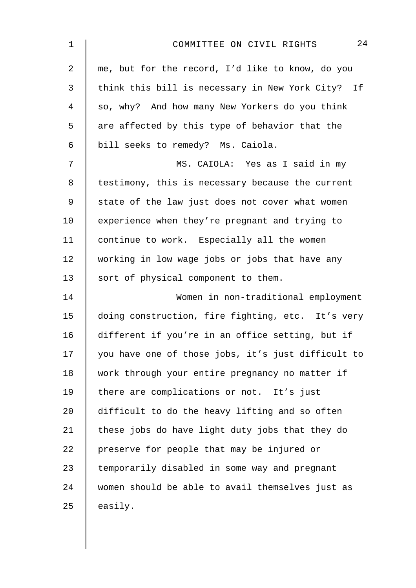| $\mathbf 1$    | 24<br>COMMITTEE ON CIVIL RIGHTS                    |
|----------------|----------------------------------------------------|
| $\overline{2}$ | me, but for the record, I'd like to know, do you   |
| 3              | think this bill is necessary in New York City? If  |
| 4              | so, why? And how many New Yorkers do you think     |
| 5              | are affected by this type of behavior that the     |
| 6              | bill seeks to remedy? Ms. Caiola.                  |
| 7              | MS. CAIOLA: Yes as I said in my                    |
| 8              | testimony, this is necessary because the current   |
| 9              | state of the law just does not cover what women    |
| 10             | experience when they're pregnant and trying to     |
| 11             | continue to work. Especially all the women         |
| 12             | working in low wage jobs or jobs that have any     |
| 13             | sort of physical component to them.                |
| 14             | Women in non-traditional employment                |
| 15             | doing construction, fire fighting, etc. It's very  |
| 16             | different if you're in an office setting, but if   |
| 17             | you have one of those jobs, it's just difficult to |
| 18             | work through your entire pregnancy no matter if    |
| 19             | there are complications or not. It's just          |
| 20             | difficult to do the heavy lifting and so often     |
| 21             | these jobs do have light duty jobs that they do    |
| 22             | preserve for people that may be injured or         |
| 23             | temporarily disabled in some way and pregnant      |
| 24             | women should be able to avail themselves just as   |
| 25             | easily.                                            |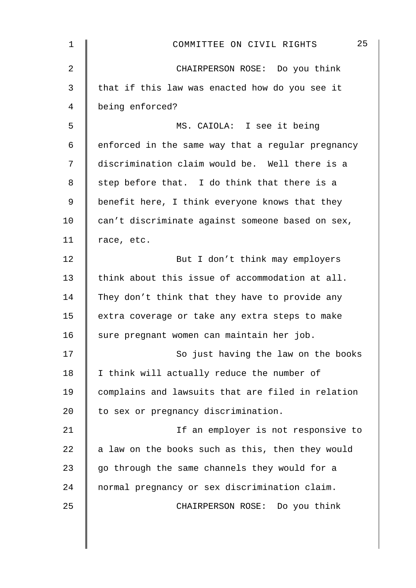| $\mathbf 1$    | 25<br>COMMITTEE ON CIVIL RIGHTS                   |
|----------------|---------------------------------------------------|
| $\overline{a}$ | CHAIRPERSON ROSE: Do you think                    |
| 3              | that if this law was enacted how do you see it    |
| 4              | being enforced?                                   |
| 5              | MS. CAIOLA: I see it being                        |
| 6              | enforced in the same way that a regular pregnancy |
| 7              | discrimination claim would be. Well there is a    |
| 8              | step before that. I do think that there is a      |
| 9              | benefit here, I think everyone knows that they    |
| 10             | can't discriminate against someone based on sex,  |
| 11             | race, etc.                                        |
| 12             | But I don't think may employers                   |
| 13             | think about this issue of accommodation at all.   |
| 14             | They don't think that they have to provide any    |
| 15             | extra coverage or take any extra steps to make    |
| 16             | sure pregnant women can maintain her job.         |
| 17             | So just having the law on the books               |
| 18             | I think will actually reduce the number of        |
| 19             | complains and lawsuits that are filed in relation |
| 20             | to sex or pregnancy discrimination.               |
| 21             | If an employer is not responsive to               |
| 22             | a law on the books such as this, then they would  |
| 23             | go through the same channels they would for a     |
| 24             | normal pregnancy or sex discrimination claim.     |
| 25             | CHAIRPERSON ROSE: Do you think                    |
|                |                                                   |
|                |                                                   |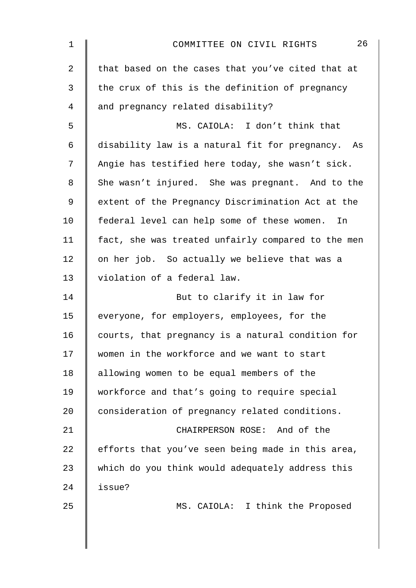| 1              | 26<br>COMMITTEE ON CIVIL RIGHTS                    |
|----------------|----------------------------------------------------|
| $\overline{2}$ | that based on the cases that you've cited that at  |
| 3              | the crux of this is the definition of pregnancy    |
| 4              | and pregnancy related disability?                  |
| 5              | MS. CAIOLA: I don't think that                     |
| 6              | disability law is a natural fit for pregnancy. As  |
| 7              | Angie has testified here today, she wasn't sick.   |
| 8              | She wasn't injured. She was pregnant. And to the   |
| 9              | extent of the Pregnancy Discrimination Act at the  |
| 10             | federal level can help some of these women. In     |
| 11             | fact, she was treated unfairly compared to the men |
| 12             | on her job. So actually we believe that was a      |
| 13             | violation of a federal law.                        |
| 14             | But to clarify it in law for                       |
| 15             | everyone, for employers, employees, for the        |
| 16             | courts, that pregnancy is a natural condition for  |
| 17             | women in the workforce and we want to start        |
| 18             | allowing women to be equal members of the          |
| 19             | workforce and that's going to require special      |
| 20             | consideration of pregnancy related conditions.     |
| 21             | CHAIRPERSON ROSE: And of the                       |
| 22             | efforts that you've seen being made in this area,  |
| 23             | which do you think would adequately address this   |
| 24             | issue?                                             |
| 25             | MS. CAIOLA: I think the Proposed                   |
|                |                                                    |
|                |                                                    |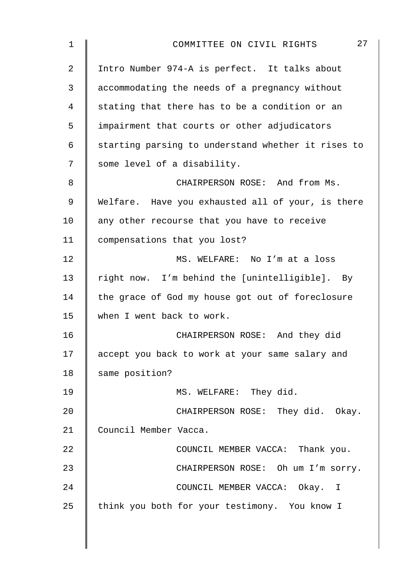| $\mathbf 1$ | 27<br>COMMITTEE ON CIVIL RIGHTS                    |
|-------------|----------------------------------------------------|
| 2           | Intro Number 974-A is perfect. It talks about      |
| 3           | accommodating the needs of a pregnancy without     |
| 4           | stating that there has to be a condition or an     |
| 5           | impairment that courts or other adjudicators       |
| 6           | starting parsing to understand whether it rises to |
| 7           | some level of a disability.                        |
| 8           | CHAIRPERSON ROSE: And from Ms.                     |
| 9           | Welfare. Have you exhausted all of your, is there  |
| 10          | any other recourse that you have to receive        |
| 11          | compensations that you lost?                       |
| 12          | MS. WELFARE: No I'm at a loss                      |
| 13          | right now. I'm behind the [unintelligible]. By     |
| 14          | the grace of God my house got out of foreclosure   |
| 15          | when I went back to work.                          |
| 16          | CHAIRPERSON ROSE: And they did                     |
| 17          | accept you back to work at your same salary and    |
| 18          | same position?                                     |
| 19          | MS. WELFARE: They did.                             |
| 20          | CHAIRPERSON ROSE: They did. Okay.                  |
| 21          | Council Member Vacca.                              |
| 22          | COUNCIL MEMBER VACCA: Thank you.                   |
| 23          | CHAIRPERSON ROSE: Oh um I'm sorry.                 |
| 24          | COUNCIL MEMBER VACCA: Okay. I                      |
| 25          | think you both for your testimony. You know I      |
|             |                                                    |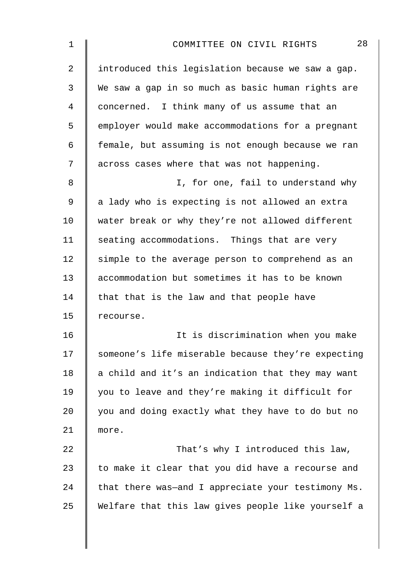| $\mathbf 1$    | 28<br>COMMITTEE ON CIVIL RIGHTS                    |
|----------------|----------------------------------------------------|
| $\overline{2}$ | introduced this legislation because we saw a gap.  |
| 3              | We saw a gap in so much as basic human rights are  |
| 4              | concerned. I think many of us assume that an       |
| 5              | employer would make accommodations for a pregnant  |
| 6              | female, but assuming is not enough because we ran  |
| 7              | across cases where that was not happening.         |
| 8              | I, for one, fail to understand why                 |
| 9              | a lady who is expecting is not allowed an extra    |
| 10             | water break or why they're not allowed different   |
| 11             | seating accommodations. Things that are very       |
| 12             | simple to the average person to comprehend as an   |
| 13             | accommodation but sometimes it has to be known     |
| 14             | that that is the law and that people have          |
| 15             | recourse.                                          |
| 16             | It is discrimination when you make                 |
| 17             | someone's life miserable because they're expecting |
| 18             | a child and it's an indication that they may want  |
| 19             | you to leave and they're making it difficult for   |
| 20             | you and doing exactly what they have to do but no  |
| 21             | more.                                              |
| 22             | That's why I introduced this law,                  |
| 23             | to make it clear that you did have a recourse and  |
| 24             | that there was-and I appreciate your testimony Ms. |
| 25             | Welfare that this law gives people like yourself a |
|                |                                                    |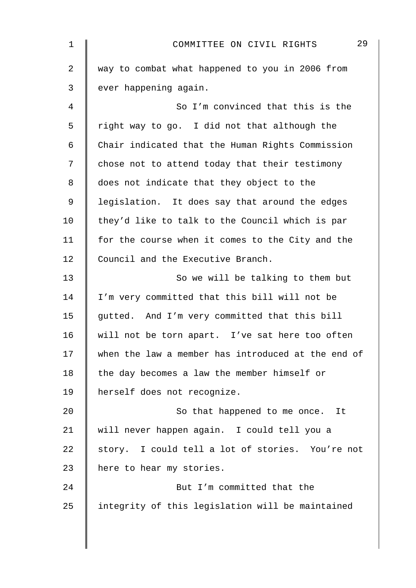| 1  | 29<br>COMMITTEE ON CIVIL RIGHTS                    |
|----|----------------------------------------------------|
| 2  | way to combat what happened to you in 2006 from    |
| 3  | ever happening again.                              |
| 4  | So I'm convinced that this is the                  |
| 5  | right way to go. I did not that although the       |
| 6  | Chair indicated that the Human Rights Commission   |
| 7  | chose not to attend today that their testimony     |
| 8  | does not indicate that they object to the          |
| 9  | legislation. It does say that around the edges     |
| 10 | they'd like to talk to the Council which is par    |
| 11 | for the course when it comes to the City and the   |
| 12 | Council and the Executive Branch.                  |
| 13 | So we will be talking to them but                  |
| 14 | I'm very committed that this bill will not be      |
| 15 | gutted. And I'm very committed that this bill      |
| 16 | will not be torn apart. I've sat here too often    |
| 17 | when the law a member has introduced at the end of |
| 18 | the day becomes a law the member himself or        |
| 19 | herself does not recognize.                        |
| 20 | So that happened to me once. It                    |
| 21 | will never happen again. I could tell you a        |
| 22 | story. I could tell a lot of stories. You're not   |
| 23 | here to hear my stories.                           |
| 24 | But I'm committed that the                         |
| 25 | integrity of this legislation will be maintained   |
|    |                                                    |
|    |                                                    |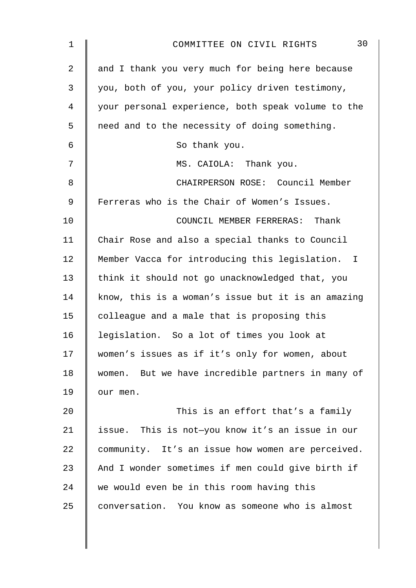| $\mathbf 1$ | 30<br>COMMITTEE ON CIVIL RIGHTS                    |
|-------------|----------------------------------------------------|
| 2           | and I thank you very much for being here because   |
| 3           | you, both of you, your policy driven testimony,    |
| 4           | your personal experience, both speak volume to the |
| 5           | need and to the necessity of doing something.      |
| 6           | So thank you.                                      |
| 7           | MS. CAIOLA: Thank you.                             |
| 8           | CHAIRPERSON ROSE: Council Member                   |
| 9           | Ferreras who is the Chair of Women's Issues.       |
| 10          | COUNCIL MEMBER FERRERAS: Thank                     |
| 11          | Chair Rose and also a special thanks to Council    |
| 12          | Member Vacca for introducing this legislation. I   |
| 13          | think it should not go unacknowledged that, you    |
| 14          | know, this is a woman's issue but it is an amazing |
| 15          | colleague and a male that is proposing this        |
| 16          | legislation. So a lot of times you look at         |
| 17          | women's issues as if it's only for women, about    |
| 18          | women. But we have incredible partners in many of  |
| 19          | our men.                                           |
| 20          | This is an effort that's a family                  |
| 21          | issue. This is not-you know it's an issue in our   |
| 22          | community. It's an issue how women are perceived.  |
| 23          | And I wonder sometimes if men could give birth if  |
| 24          | we would even be in this room having this          |
| 25          | conversation. You know as someone who is almost    |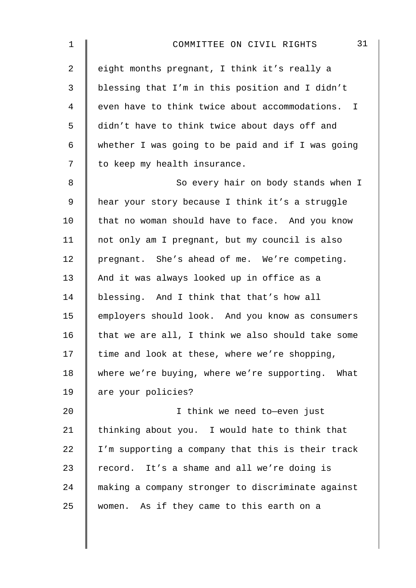| $\mathbf 1$    | 31<br>COMMITTEE ON CIVIL RIGHTS                   |
|----------------|---------------------------------------------------|
| $\overline{2}$ | eight months pregnant, I think it's really a      |
| 3              | blessing that I'm in this position and I didn't   |
| $\overline{4}$ | even have to think twice about accommodations. I  |
| 5              | didn't have to think twice about days off and     |
| $\epsilon$     | whether I was going to be paid and if I was going |
| 7              | to keep my health insurance.                      |
| $\,8\,$        | So every hair on body stands when I               |
| $\mathsf 9$    | hear your story because I think it's a struggle   |
| 10             | that no woman should have to face. And you know   |
| 11             | not only am I pregnant, but my council is also    |
| 12             | pregnant. She's ahead of me. We're competing.     |
| 13             | And it was always looked up in office as a        |
| 14             | blessing. And I think that that's how all         |
| 15             | employers should look. And you know as consumers  |
| 16             | that we are all, I think we also should take some |
| 17             | time and look at these, where we're shopping,     |
| 18             | where we're buying, where we're supporting. What  |
| 19             | are your policies?                                |
| 20             | I think we need to-even just                      |
| 21             | thinking about you. I would hate to think that    |
| 22             | I'm supporting a company that this is their track |
| 23             | record. It's a shame and all we're doing is       |
| 24             | making a company stronger to discriminate against |
| 25             | women. As if they came to this earth on a         |
|                |                                                   |
|                |                                                   |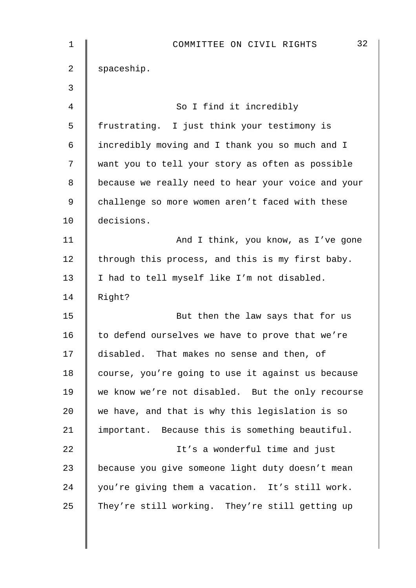| 1              | 32<br>COMMITTEE ON CIVIL RIGHTS                    |
|----------------|----------------------------------------------------|
| $\overline{2}$ | spaceship.                                         |
| 3              |                                                    |
| 4              | So I find it incredibly                            |
| 5              | frustrating. I just think your testimony is        |
| 6              | incredibly moving and I thank you so much and I    |
| 7              | want you to tell your story as often as possible   |
| 8              | because we really need to hear your voice and your |
| $\mathsf 9$    | challenge so more women aren't faced with these    |
| 10             | decisions.                                         |
| 11             | And I think, you know, as I've gone                |
| 12             | through this process, and this is my first baby.   |
| 13             | I had to tell myself like I'm not disabled.        |
| 14             | Right?                                             |
| 15             | But then the law says that for us                  |
| 16             | to defend ourselves we have to prove that we're    |
| 17             | disabled. That makes no sense and then, of         |
| 18             | course, you're going to use it against us because  |
| 19             | we know we're not disabled. But the only recourse  |
| 20             | we have, and that is why this legislation is so    |
| 21             | important. Because this is something beautiful.    |
| 22             | It's a wonderful time and just                     |
| 23             | because you give someone light duty doesn't mean   |
| 24             | you're giving them a vacation. It's still work.    |
| 25             | They're still working. They're still getting up    |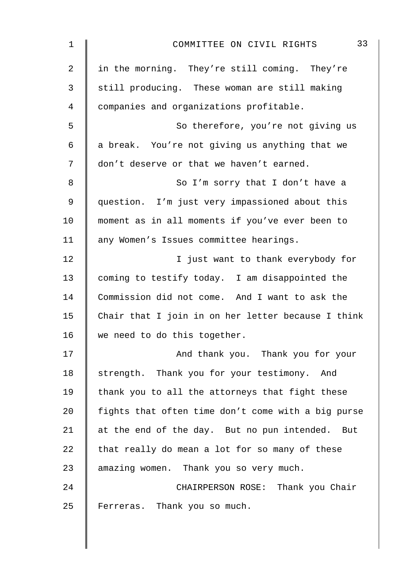| $\mathbf 1$    | 33<br>COMMITTEE ON CIVIL RIGHTS                    |
|----------------|----------------------------------------------------|
| $\overline{2}$ | in the morning. They're still coming. They're      |
| 3              | still producing. These woman are still making      |
| $\overline{4}$ | companies and organizations profitable.            |
| 5              | So therefore, you're not giving us                 |
| $\epsilon$     | a break. You're not giving us anything that we     |
| 7              | don't deserve or that we haven't earned.           |
| 8              | So I'm sorry that I don't have a                   |
| 9              | question. I'm just very impassioned about this     |
| 10             | moment as in all moments if you've ever been to    |
| 11             | any Women's Issues committee hearings.             |
| 12             | I just want to thank everybody for                 |
| 13             | coming to testify today. I am disappointed the     |
| 14             | Commission did not come. And I want to ask the     |
| 15             | Chair that I join in on her letter because I think |
| 16             | we need to do this together.                       |
| 17             | And thank you. Thank you for your                  |
| 18             | strength. Thank you for your testimony. And        |
| 19             | thank you to all the attorneys that fight these    |
| 20             | fights that often time don't come with a big purse |
| 21             | at the end of the day. But no pun intended. But    |
| 22             | that really do mean a lot for so many of these     |
| 23             | amazing women. Thank you so very much.             |
| 24             | CHAIRPERSON ROSE: Thank you Chair                  |
| 25             | Ferreras. Thank you so much.                       |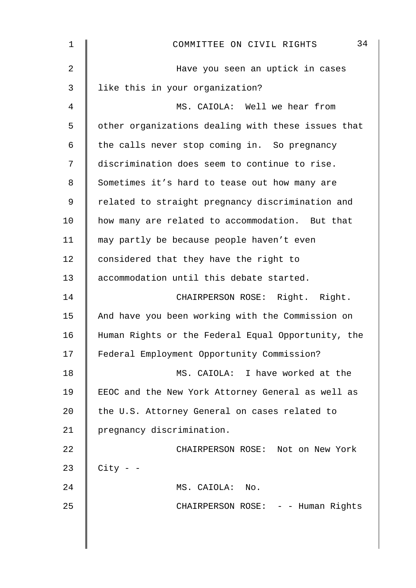| 1  | 34<br>COMMITTEE ON CIVIL RIGHTS                    |
|----|----------------------------------------------------|
| 2  | Have you seen an uptick in cases                   |
| 3  | like this in your organization?                    |
| 4  | MS. CAIOLA: Well we hear from                      |
| 5  | other organizations dealing with these issues that |
| 6  | the calls never stop coming in. So pregnancy       |
| 7  | discrimination does seem to continue to rise.      |
| 8  | Sometimes it's hard to tease out how many are      |
| 9  | related to straight pregnancy discrimination and   |
| 10 | how many are related to accommodation. But that    |
| 11 | may partly be because people haven't even          |
| 12 | considered that they have the right to             |
| 13 | accommodation until this debate started.           |
| 14 | CHAIRPERSON ROSE: Right. Right.                    |
| 15 | And have you been working with the Commission on   |
| 16 | Human Rights or the Federal Equal Opportunity, the |
| 17 | Federal Employment Opportunity Commission?         |
| 18 | MS. CAIOLA: I have worked at the                   |
| 19 | EEOC and the New York Attorney General as well as  |
| 20 | the U.S. Attorney General on cases related to      |
| 21 | pregnancy discrimination.                          |
| 22 | CHAIRPERSON ROSE: Not on New York                  |
| 23 | $City - -$                                         |
| 24 | MS. CAIOLA: No.                                    |
| 25 | CHAIRPERSON ROSE: - - Human Rights                 |
|    |                                                    |
|    |                                                    |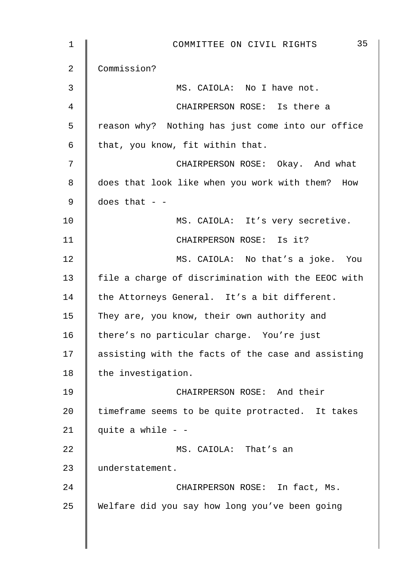| $\mathbf 1$ | 35<br>COMMITTEE ON CIVIL RIGHTS                    |
|-------------|----------------------------------------------------|
| 2           | Commission?                                        |
| 3           | MS. CAIOLA: No I have not.                         |
| 4           | CHAIRPERSON ROSE: Is there a                       |
| 5           | reason why? Nothing has just come into our office  |
| 6           | that, you know, fit within that.                   |
| 7           | CHAIRPERSON ROSE: Okay. And what                   |
| 8           | does that look like when you work with them? How   |
| 9           | does that $ -$                                     |
| 10          | MS. CAIOLA: It's very secretive.                   |
| 11          | CHAIRPERSON ROSE: Is it?                           |
| 12          | MS. CAIOLA: No that's a joke. You                  |
| 13          | file a charge of discrimination with the EEOC with |
| 14          | the Attorneys General. It's a bit different.       |
| 15          | They are, you know, their own authority and        |
| 16          | there's no particular charge. You're just          |
| 17          | assisting with the facts of the case and assisting |
| 18          | the investigation.                                 |
| 19          | CHAIRPERSON ROSE: And their                        |
| 20          | timeframe seems to be quite protracted. It takes   |
| 21          | quite a while $ -$                                 |
| 22          | MS. CAIOLA: That's an                              |
| 23          | understatement.                                    |
| 24          | CHAIRPERSON ROSE: In fact, Ms.                     |
| 25          | Welfare did you say how long you've been going     |
|             |                                                    |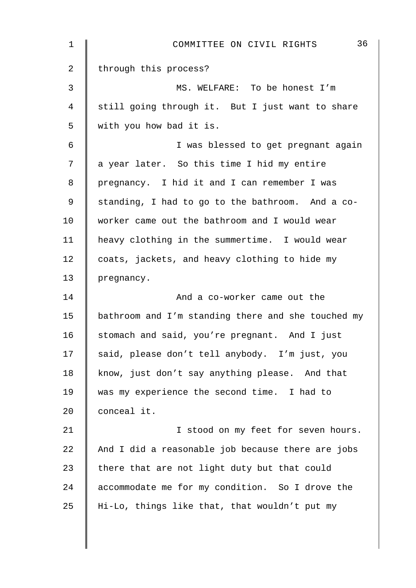| $\mathbf 1$    | 36<br>COMMITTEE ON CIVIL RIGHTS                    |
|----------------|----------------------------------------------------|
| $\overline{2}$ | through this process?                              |
| $\mathfrak{Z}$ | MS. WELFARE: To be honest I'm                      |
| $\overline{4}$ | still going through it. But I just want to share   |
| 5              | with you how bad it is.                            |
| 6              | I was blessed to get pregnant again                |
| 7              | a year later. So this time I hid my entire         |
| 8              | pregnancy. I hid it and I can remember I was       |
| 9              | standing, I had to go to the bathroom. And a co-   |
| 10             | worker came out the bathroom and I would wear      |
| 11             | heavy clothing in the summertime. I would wear     |
| 12             | coats, jackets, and heavy clothing to hide my      |
| 13             | pregnancy.                                         |
| 14             | And a co-worker came out the                       |
| 15             | bathroom and I'm standing there and she touched my |
| 16             | stomach and said, you're pregnant. And I just      |
| 17             | said, please don't tell anybody. I'm just, you     |
| 18             | know, just don't say anything please. And that     |
| 19             | was my experience the second time. I had to        |
| 20             | conceal it.                                        |
| 21             | I stood on my feet for seven hours.                |
| 22             | And I did a reasonable job because there are jobs  |
| 23             | there that are not light duty but that could       |
| 24             | accommodate me for my condition. So I drove the    |
| 25             | Hi-Lo, things like that, that wouldn't put my      |
|                |                                                    |
|                |                                                    |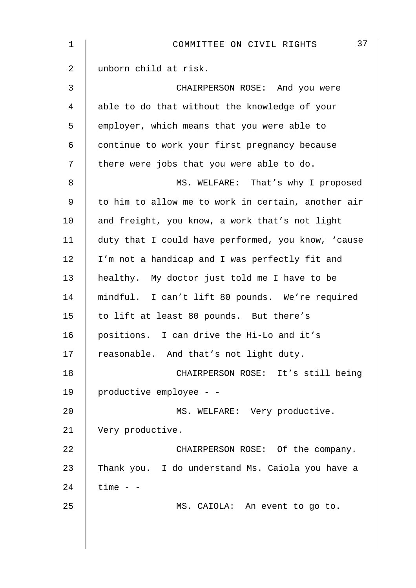| $\mathbf 1$    | 37<br>COMMITTEE ON CIVIL RIGHTS                    |
|----------------|----------------------------------------------------|
| $\overline{2}$ | unborn child at risk.                              |
| 3              | CHAIRPERSON ROSE: And you were                     |
| 4              | able to do that without the knowledge of your      |
| 5              | employer, which means that you were able to        |
| 6              | continue to work your first pregnancy because      |
| 7              | there were jobs that you were able to do.          |
| 8              | MS. WELFARE: That's why I proposed                 |
| 9              | to him to allow me to work in certain, another air |
| 10             | and freight, you know, a work that's not light     |
| 11             | duty that I could have performed, you know, 'cause |
| 12             | I'm not a handicap and I was perfectly fit and     |
| 13             | healthy. My doctor just told me I have to be       |
| 14             | mindful. I can't lift 80 pounds. We're required    |
| 15             | to lift at least 80 pounds. But there's            |
| 16             | positions. I can drive the Hi-Lo and it's          |
| 17             | reasonable. And that's not light duty.             |
| 18             | CHAIRPERSON ROSE: It's still being                 |
| 19             | productive employee - -                            |
| 20             | MS. WELFARE: Very productive.                      |
| 21             | Very productive.                                   |
| 22             | CHAIRPERSON ROSE: Of the company.                  |
| 23             | Thank you. I do understand Ms. Caiola you have a   |
| 24             | $time - -$                                         |
| 25             | MS. CAIOLA: An event to go to.                     |
|                |                                                    |
|                |                                                    |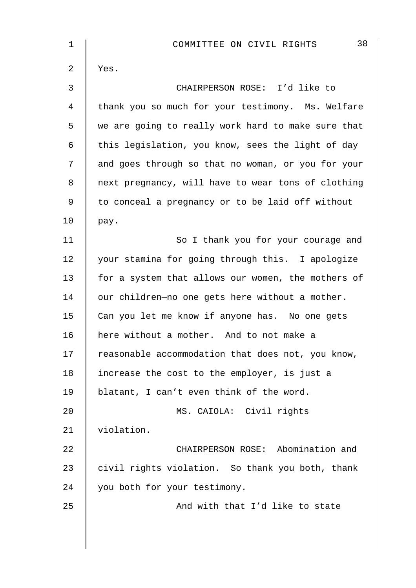| 1              | 38<br>COMMITTEE ON CIVIL RIGHTS                    |
|----------------|----------------------------------------------------|
| $\overline{2}$ | Yes.                                               |
| 3              | CHAIRPERSON ROSE: I'd like to                      |
| 4              | thank you so much for your testimony. Ms. Welfare  |
| 5              | we are going to really work hard to make sure that |
| $\epsilon$     | this legislation, you know, sees the light of day  |
| 7              | and goes through so that no woman, or you for your |
| 8              | next pregnancy, will have to wear tons of clothing |
| $\mathsf 9$    | to conceal a pregnancy or to be laid off without   |
| 10             | pay.                                               |
| 11             | So I thank you for your courage and                |
| 12             | your stamina for going through this. I apologize   |
| 13             | for a system that allows our women, the mothers of |
| 14             | our children-no one gets here without a mother.    |
| 15             | Can you let me know if anyone has. No one gets     |
| 16             | here without a mother. And to not make a           |
| 17             | reasonable accommodation that does not, you know,  |
| 18             | increase the cost to the employer, is just a       |
| 19             | blatant, I can't even think of the word.           |
| 20             | MS. CAIOLA: Civil rights                           |
| 21             | violation.                                         |
| 22             | CHAIRPERSON ROSE: Abomination and                  |
| 23             | civil rights violation. So thank you both, thank   |
| 24             | you both for your testimony.                       |
| 25             | And with that I'd like to state                    |
|                |                                                    |
|                |                                                    |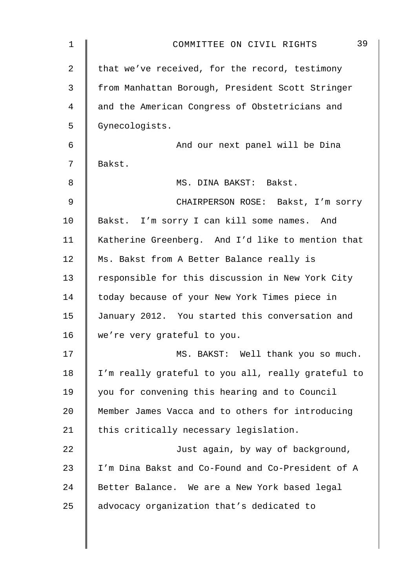| $\mathbf 1$ | 39<br>COMMITTEE ON CIVIL RIGHTS                    |
|-------------|----------------------------------------------------|
| 2           | that we've received, for the record, testimony     |
| 3           | from Manhattan Borough, President Scott Stringer   |
| 4           | and the American Congress of Obstetricians and     |
| 5           | Gynecologists.                                     |
| 6           | And our next panel will be Dina                    |
| 7           | Bakst.                                             |
| 8           | MS. DINA BAKST: Bakst.                             |
| 9           | CHAIRPERSON ROSE: Bakst, I'm sorry                 |
| 10          | Bakst. I'm sorry I can kill some names. And        |
| 11          | Katherine Greenberg. And I'd like to mention that  |
| 12          | Ms. Bakst from A Better Balance really is          |
| 13          | responsible for this discussion in New York City   |
| 14          | today because of your New York Times piece in      |
| 15          | January 2012. You started this conversation and    |
| 16          | we're very grateful to you.                        |
| 17          | MS. BAKST: Well thank you so much.                 |
| 18          | I'm really grateful to you all, really grateful to |
| 19          | you for convening this hearing and to Council      |
| 20          | Member James Vacca and to others for introducing   |
| 21          | this critically necessary legislation.             |
| 22          | Just again, by way of background,                  |
| 23          | I'm Dina Bakst and Co-Found and Co-President of A  |
| 24          | Better Balance. We are a New York based legal      |
| 25          | advocacy organization that's dedicated to          |
|             |                                                    |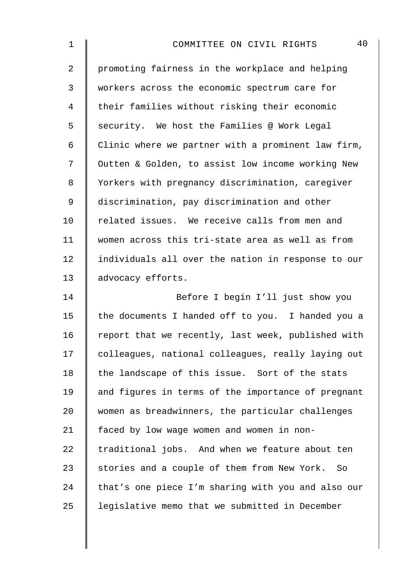| 1              | 40<br>COMMITTEE ON CIVIL RIGHTS                    |
|----------------|----------------------------------------------------|
| $\overline{a}$ | promoting fairness in the workplace and helping    |
| 3              | workers across the economic spectrum care for      |
| $\overline{4}$ | their families without risking their economic      |
| 5              | security. We host the Families @ Work Legal        |
| 6              | Clinic where we partner with a prominent law firm, |
| 7              | Outten & Golden, to assist low income working New  |
| 8              | Yorkers with pregnancy discrimination, caregiver   |
| $\mathsf 9$    | discrimination, pay discrimination and other       |
| 10             | related issues. We receive calls from men and      |
| 11             | women across this tri-state area as well as from   |
| 12             | individuals all over the nation in response to our |
| 13             | advocacy efforts.                                  |
| 14             | Before I begin I'll just show you                  |
| 15             | the documents I handed off to you. I handed you a  |
| 16             | report that we recently, last week, published with |
| 17             | colleagues, national colleagues, really laying out |
| 18             | the landscape of this issue. Sort of the stats     |
| 19             | and figures in terms of the importance of pregnant |
| 20             | women as breadwinners, the particular challenges   |
| 21             | faced by low wage women and women in non-          |
| 22             | traditional jobs. And when we feature about ten    |
| 23             | stories and a couple of them from New York. So     |
| 24             | that's one piece I'm sharing with you and also our |
| 25             | legislative memo that we submitted in December     |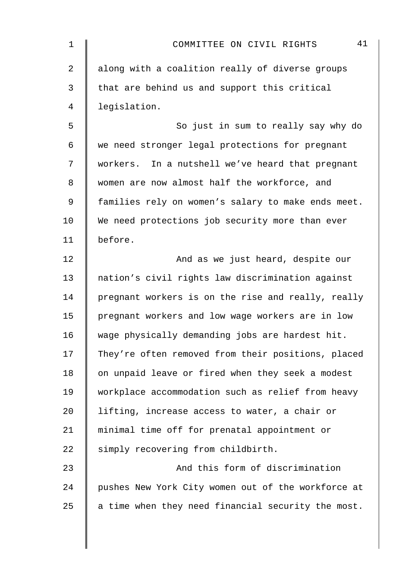| $\mathbf 1$ | 41<br>COMMITTEE ON CIVIL RIGHTS                    |
|-------------|----------------------------------------------------|
| 2           | along with a coalition really of diverse groups    |
| 3           | that are behind us and support this critical       |
| 4           | legislation.                                       |
| 5           | So just in sum to really say why do                |
| 6           | we need stronger legal protections for pregnant    |
| 7           | workers. In a nutshell we've heard that pregnant   |
| 8           | women are now almost half the workforce, and       |
| 9           | families rely on women's salary to make ends meet. |
| 10          | We need protections job security more than ever    |
| 11          | before.                                            |
| 12          | And as we just heard, despite our                  |
| 13          | nation's civil rights law discrimination against   |
| 14          | pregnant workers is on the rise and really, really |
| 15          | pregnant workers and low wage workers are in low   |
| 16          | wage physically demanding jobs are hardest hit.    |
| 17          | They're often removed from their positions, placed |
| 18          | on unpaid leave or fired when they seek a modest   |
| 19          | workplace accommodation such as relief from heavy  |
| 20          | lifting, increase access to water, a chair or      |
| 21          | minimal time off for prenatal appointment or       |
| 22          | simply recovering from childbirth.                 |
| 23          | And this form of discrimination                    |
| 24          | pushes New York City women out of the workforce at |
| 25          | a time when they need financial security the most. |
|             |                                                    |
|             |                                                    |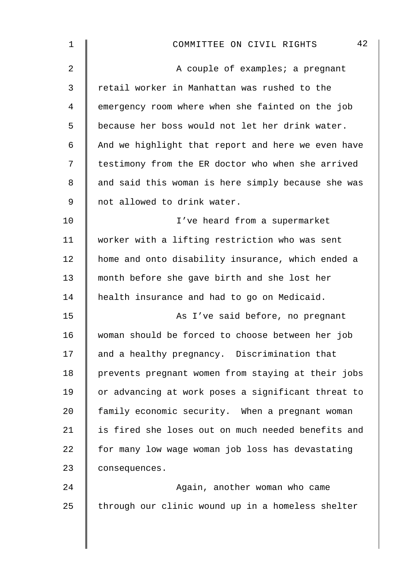| $\mathbf 1$ | 42<br>COMMITTEE ON CIVIL RIGHTS                    |
|-------------|----------------------------------------------------|
| 2           | A couple of examples; a pregnant                   |
| 3           | retail worker in Manhattan was rushed to the       |
| 4           | emergency room where when she fainted on the job   |
| 5           | because her boss would not let her drink water.    |
| 6           | And we highlight that report and here we even have |
| 7           | testimony from the ER doctor who when she arrived  |
| 8           | and said this woman is here simply because she was |
| 9           | not allowed to drink water.                        |
| 10          | I've heard from a supermarket                      |
| 11          | worker with a lifting restriction who was sent     |
| 12          | home and onto disability insurance, which ended a  |
| 13          | month before she gave birth and she lost her       |
| 14          | health insurance and had to go on Medicaid.        |
| 15          | As I've said before, no pregnant                   |
| 16          | woman should be forced to choose between her job   |
| 17          | and a healthy pregnancy. Discrimination that       |
| 18          | prevents pregnant women from staying at their jobs |
| 19          | or advancing at work poses a significant threat to |
| 20          | family economic security. When a pregnant woman    |
| 21          | is fired she loses out on much needed benefits and |
| 22          | for many low wage woman job loss has devastating   |
| 23          | consequences.                                      |
| 24          | Again, another woman who came                      |
| 25          | through our clinic wound up in a homeless shelter  |
|             |                                                    |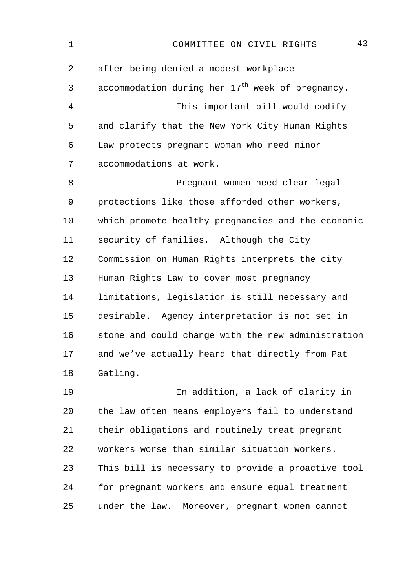| $\mathbf 1$ | 43<br>COMMITTEE ON CIVIL RIGHTS                    |
|-------------|----------------------------------------------------|
| 2           | after being denied a modest workplace              |
| 3           | accommodation during her $17th$ week of pregnancy. |
| 4           | This important bill would codify                   |
| 5           | and clarify that the New York City Human Rights    |
| 6           | Law protects pregnant woman who need minor         |
| 7           | accommodations at work.                            |
| 8           | Pregnant women need clear legal                    |
| 9           | protections like those afforded other workers,     |
| 10          | which promote healthy pregnancies and the economic |
| 11          | security of families. Although the City            |
| 12          | Commission on Human Rights interprets the city     |
| 13          | Human Rights Law to cover most pregnancy           |
| 14          | limitations, legislation is still necessary and    |
| 15          | desirable. Agency interpretation is not set in     |
| 16          | stone and could change with the new administration |
| 17          | and we've actually heard that directly from Pat    |
| 18          | Gatling.                                           |
| 19          | In addition, a lack of clarity in                  |
| 20          | the law often means employers fail to understand   |
| 21          | their obligations and routinely treat pregnant     |
| 22          | workers worse than similar situation workers.      |
| 23          | This bill is necessary to provide a proactive tool |
| 24          | for pregnant workers and ensure equal treatment    |
| 25          | under the law. Moreover, pregnant women cannot     |
|             |                                                    |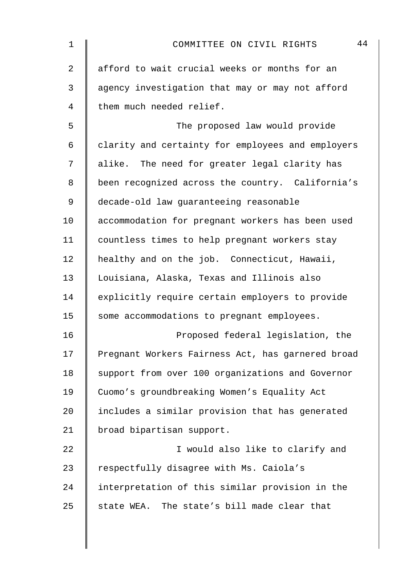| 1  | 44<br>COMMITTEE ON CIVIL RIGHTS                   |
|----|---------------------------------------------------|
| 2  | afford to wait crucial weeks or months for an     |
| 3  | agency investigation that may or may not afford   |
| 4  | them much needed relief.                          |
| 5  | The proposed law would provide                    |
| 6  | clarity and certainty for employees and employers |
| 7  | alike. The need for greater legal clarity has     |
| 8  | been recognized across the country. California's  |
| 9  | decade-old law guaranteeing reasonable            |
| 10 | accommodation for pregnant workers has been used  |
| 11 | countless times to help pregnant workers stay     |
| 12 | healthy and on the job. Connecticut, Hawaii,      |
| 13 | Louisiana, Alaska, Texas and Illinois also        |
| 14 | explicitly require certain employers to provide   |
| 15 | some accommodations to pregnant employees.        |
| 16 | Proposed federal legislation, the                 |
| 17 | Pregnant Workers Fairness Act, has garnered broad |
| 18 | support from over 100 organizations and Governor  |
| 19 | Cuomo's groundbreaking Women's Equality Act       |
| 20 | includes a similar provision that has generated   |
| 21 | broad bipartisan support.                         |
| 22 | I would also like to clarify and                  |
| 23 | respectfully disagree with Ms. Caiola's           |
| 24 | interpretation of this similar provision in the   |
| 25 | state WEA. The state's bill made clear that       |
|    |                                                   |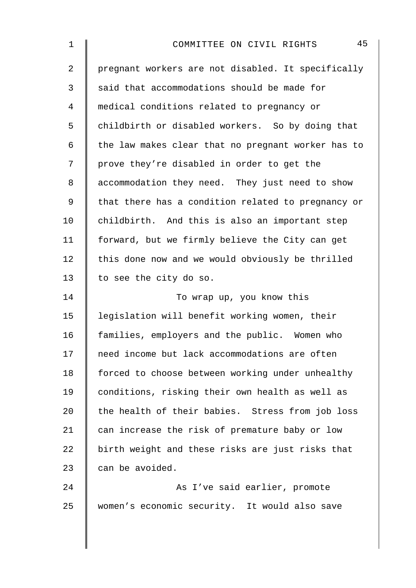| 1           | 45<br>COMMITTEE ON CIVIL RIGHTS                    |
|-------------|----------------------------------------------------|
| 2           | pregnant workers are not disabled. It specifically |
| 3           | said that accommodations should be made for        |
| 4           | medical conditions related to pregnancy or         |
| 5           | childbirth or disabled workers. So by doing that   |
| 6           | the law makes clear that no pregnant worker has to |
| 7           | prove they're disabled in order to get the         |
| 8           | accommodation they need. They just need to show    |
| $\mathsf 9$ | that there has a condition related to pregnancy or |
| 10          | childbirth. And this is also an important step     |
| 11          | forward, but we firmly believe the City can get    |
| 12          | this done now and we would obviously be thrilled   |
| 13          | to see the city do so.                             |
| 14          | To wrap up, you know this                          |
| 15          | legislation will benefit working women, their      |
| 16          | families, employers and the public. Women who      |
| 17          | need income but lack accommodations are often      |
| 18          | forced to choose between working under unhealthy   |
| 19          | conditions, risking their own health as well as    |
| 20          | the health of their babies. Stress from job loss   |
| 21          | can increase the risk of premature baby or low     |
| 22          | birth weight and these risks are just risks that   |
| 23          | can be avoided.                                    |
| 24          | As I've said earlier, promote                      |
| 25          | women's economic security. It would also save      |
|             |                                                    |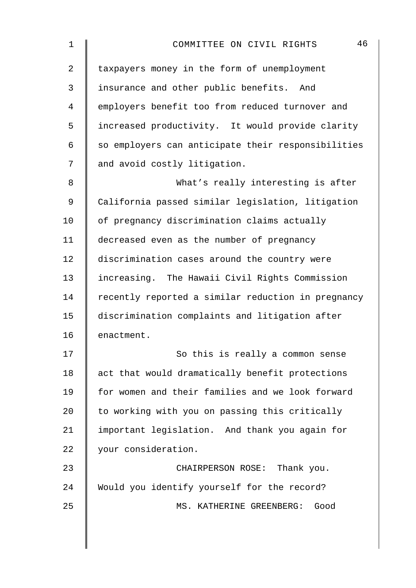| $\mathbf 1$ | 46<br>COMMITTEE ON CIVIL RIGHTS                    |
|-------------|----------------------------------------------------|
| 2           | taxpayers money in the form of unemployment        |
| 3           | insurance and other public benefits. And           |
| 4           | employers benefit too from reduced turnover and    |
| 5           | increased productivity. It would provide clarity   |
| 6           | so employers can anticipate their responsibilities |
| 7           | and avoid costly litigation.                       |
| 8           | What's really interesting is after                 |
| 9           | California passed similar legislation, litigation  |
| 10          | of pregnancy discrimination claims actually        |
| 11          | decreased even as the number of pregnancy          |
| 12          | discrimination cases around the country were       |
| 13          | increasing. The Hawaii Civil Rights Commission     |
| 14          | recently reported a similar reduction in pregnancy |
| 15          | discrimination complaints and litigation after     |
| 16          | enactment.                                         |
| $17$        | So this is really a common sense                   |
| 18          | act that would dramatically benefit protections    |
| 19          | for women and their families and we look forward   |
| 20          | to working with you on passing this critically     |
| 21          | important legislation. And thank you again for     |
| 22          | your consideration.                                |
| 23          | CHAIRPERSON ROSE: Thank you.                       |
| 24          | Would you identify yourself for the record?        |
| 25          | MS. KATHERINE GREENBERG:<br>Good                   |
|             |                                                    |
|             |                                                    |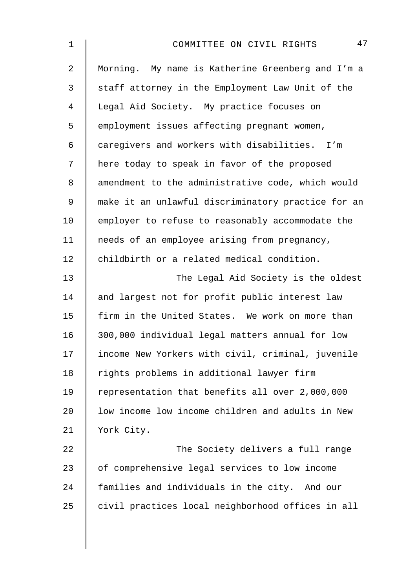| 47<br>COMMITTEE ON CIVIL RIGHTS                    |
|----------------------------------------------------|
| Morning. My name is Katherine Greenberg and I'm a  |
| staff attorney in the Employment Law Unit of the   |
| Legal Aid Society. My practice focuses on          |
| employment issues affecting pregnant women,        |
| caregivers and workers with disabilities.<br>I'm   |
| here today to speak in favor of the proposed       |
| amendment to the administrative code, which would  |
| make it an unlawful discriminatory practice for an |
| employer to refuse to reasonably accommodate the   |
| needs of an employee arising from pregnancy,       |
| childbirth or a related medical condition.         |
| The Legal Aid Society is the oldest                |
| and largest not for profit public interest law     |
| firm in the United States. We work on more than    |
| 300,000 individual legal matters annual for low    |
| income New Yorkers with civil, criminal, juvenile  |
| rights problems in additional lawyer firm          |
| representation that benefits all over 2,000,000    |
| low income low income children and adults in New   |
| York City.                                         |
| The Society delivers a full range                  |
| of comprehensive legal services to low income      |
| families and individuals in the city. And our      |
| civil practices local neighborhood offices in all  |
|                                                    |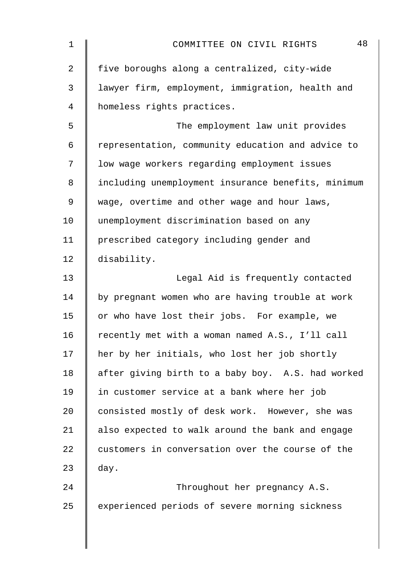| $\mathbf 1$    | 48<br>COMMITTEE ON CIVIL RIGHTS                    |
|----------------|----------------------------------------------------|
| $\overline{2}$ | five boroughs along a centralized, city-wide       |
| 3              | lawyer firm, employment, immigration, health and   |
| 4              | homeless rights practices.                         |
| 5              | The employment law unit provides                   |
| 6              | representation, community education and advice to  |
| 7              | low wage workers regarding employment issues       |
| 8              | including unemployment insurance benefits, minimum |
| 9              | wage, overtime and other wage and hour laws,       |
| 10             | unemployment discrimination based on any           |
| 11             | prescribed category including gender and           |
| 12             | disability.                                        |
| 13             | Legal Aid is frequently contacted                  |
| 14             | by pregnant women who are having trouble at work   |
| 15             | or who have lost their jobs. For example, we       |
| 16             | recently met with a woman named A.S., I'll call    |
| 17             | her by her initials, who lost her job shortly      |
| 18             | after giving birth to a baby boy. A.S. had worked  |
| 19             | in customer service at a bank where her job        |
| 20             | consisted mostly of desk work. However, she was    |
| 21             | also expected to walk around the bank and engage   |
| 22             | customers in conversation over the course of the   |
| 23             | day.                                               |
| 24             | Throughout her pregnancy A.S.                      |
| 25             | experienced periods of severe morning sickness     |
|                |                                                    |
|                |                                                    |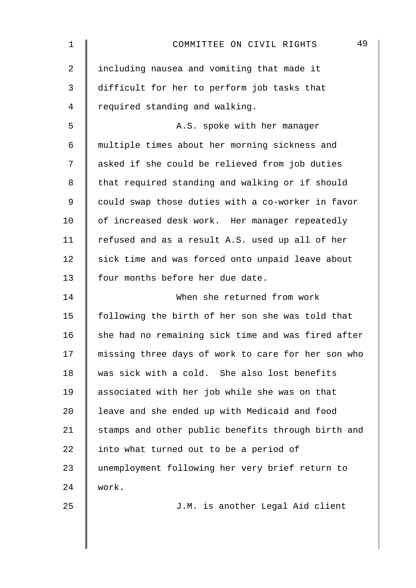| $\mathbf 1$    | 49<br>COMMITTEE ON CIVIL RIGHTS                    |
|----------------|----------------------------------------------------|
| 2              | including nausea and vomiting that made it         |
| $\mathfrak{Z}$ | difficult for her to perform job tasks that        |
| 4              | required standing and walking.                     |
| 5              | A.S. spoke with her manager                        |
| 6              | multiple times about her morning sickness and      |
| 7              | asked if she could be relieved from job duties     |
| 8              | that required standing and walking or if should    |
| 9              | could swap those duties with a co-worker in favor  |
| 10             | of increased desk work. Her manager repeatedly     |
| 11             | refused and as a result A.S. used up all of her    |
| 12             | sick time and was forced onto unpaid leave about   |
| 13             | four months before her due date.                   |
| 14             | When she returned from work                        |
| 15             | following the birth of her son she was told that   |
| 16             | she had no remaining sick time and was fired after |
| 17             | missing three days of work to care for her son who |
| 18             | was sick with a cold. She also lost benefits       |
| 19             | associated with her job while she was on that      |
| 20             | leave and she ended up with Medicaid and food      |
| 21             | stamps and other public benefits through birth and |
| 22             | into what turned out to be a period of             |
| 23             | unemployment following her very brief return to    |
| 24             | work.                                              |
| 25             | J.M. is another Legal Aid client                   |
|                |                                                    |
|                |                                                    |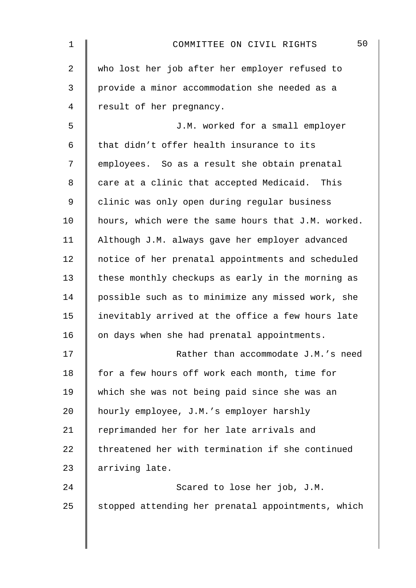| 1              | 50<br>COMMITTEE ON CIVIL RIGHTS                    |
|----------------|----------------------------------------------------|
| $\overline{a}$ | who lost her job after her employer refused to     |
| 3              | provide a minor accommodation she needed as a      |
| 4              | result of her pregnancy.                           |
| 5              | J.M. worked for a small employer                   |
| 6              | that didn't offer health insurance to its          |
| 7              | employees. So as a result she obtain prenatal      |
| 8              | care at a clinic that accepted Medicaid. This      |
| 9              | clinic was only open during regular business       |
| 10             | hours, which were the same hours that J.M. worked. |
| 11             | Although J.M. always gave her employer advanced    |
| 12             | notice of her prenatal appointments and scheduled  |
| 13             | these monthly checkups as early in the morning as  |
| 14             | possible such as to minimize any missed work, she  |
| 15             | inevitably arrived at the office a few hours late  |
| 16             | on days when she had prenatal appointments.        |
| 17             | Rather than accommodate J.M.'s need                |
| 18             | for a few hours off work each month, time for      |
| 19             | which she was not being paid since she was an      |
| 20             | hourly employee, J.M.'s employer harshly           |
| 21             | reprimanded her for her late arrivals and          |
| 22             | threatened her with termination if she continued   |
| 23             | arriving late.                                     |
| 24             | Scared to lose her job, J.M.                       |
| 25             | stopped attending her prenatal appointments, which |
|                |                                                    |
|                |                                                    |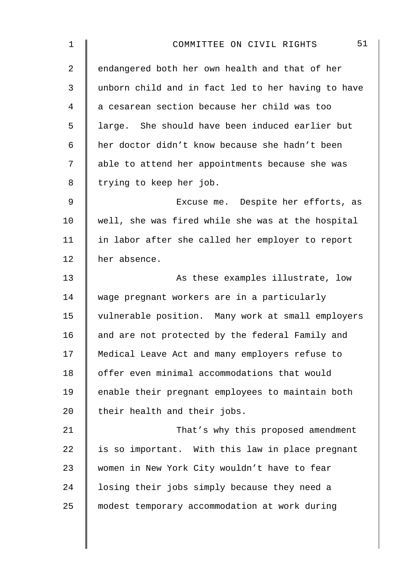| 1              | 51<br>COMMITTEE ON CIVIL RIGHTS                    |
|----------------|----------------------------------------------------|
| $\overline{a}$ | endangered both her own health and that of her     |
| 3              | unborn child and in fact led to her having to have |
| 4              | a cesarean section because her child was too       |
| 5              | large. She should have been induced earlier but    |
| 6              | her doctor didn't know because she hadn't been     |
| 7              | able to attend her appointments because she was    |
| 8              | trying to keep her job.                            |
| $\mathsf 9$    | Excuse me. Despite her efforts, as                 |
| 10             | well, she was fired while she was at the hospital  |
| 11             | in labor after she called her employer to report   |
| 12             | her absence.                                       |
| 13             | As these examples illustrate, low                  |
| 14             | wage pregnant workers are in a particularly        |
| 15             | vulnerable position. Many work at small employers  |
| 16             | and are not protected by the federal Family and    |
| 17             | Medical Leave Act and many employers refuse to     |
| 18             | offer even minimal accommodations that would       |
| 19             | enable their pregnant employees to maintain both   |
| 20             | their health and their jobs.                       |
| 21             | That's why this proposed amendment                 |
| 22             | is so important. With this law in place pregnant   |
| 23             | women in New York City wouldn't have to fear       |
| 24             | losing their jobs simply because they need a       |
| 25             | modest temporary accommodation at work during      |
|                |                                                    |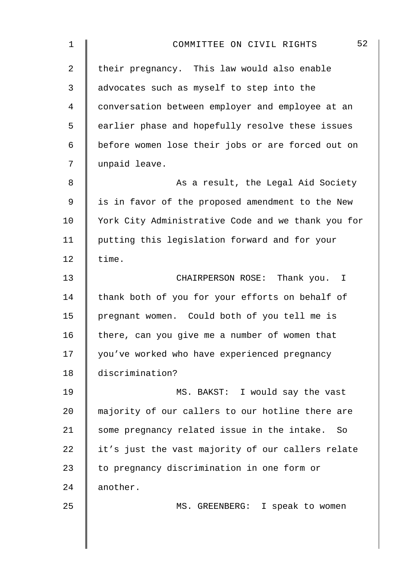| $\mathbf 1$    | 52<br>COMMITTEE ON CIVIL RIGHTS                    |
|----------------|----------------------------------------------------|
| $\overline{2}$ | their pregnancy. This law would also enable        |
| 3              | advocates such as myself to step into the          |
| 4              | conversation between employer and employee at an   |
| 5              | earlier phase and hopefully resolve these issues   |
| 6              | before women lose their jobs or are forced out on  |
| 7              | unpaid leave.                                      |
| 8              | As a result, the Legal Aid Society                 |
| 9              | is in favor of the proposed amendment to the New   |
| 10             | York City Administrative Code and we thank you for |
| 11             | putting this legislation forward and for your      |
| 12             | time.                                              |
| 13             | CHAIRPERSON ROSE: Thank you. I                     |
| 14             | thank both of you for your efforts on behalf of    |
| 15             | pregnant women. Could both of you tell me is       |
| 16             | there, can you give me a number of women that      |
| 17             | you've worked who have experienced pregnancy       |
| 18             | discrimination?                                    |
| 19             | MS. BAKST: I would say the vast                    |
| 20             | majority of our callers to our hotline there are   |
| 21             | some pregnancy related issue in the intake. So     |
| 22             | it's just the vast majority of our callers relate  |
| 23             | to pregnancy discrimination in one form or         |
| 24             | another.                                           |
| 25             | MS. GREENBERG: I speak to women                    |
|                |                                                    |
|                |                                                    |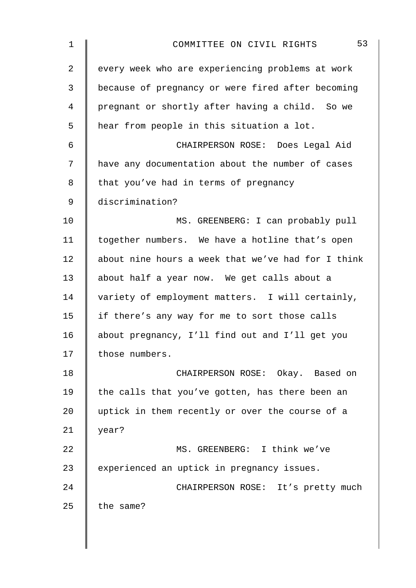| $\mathbf 1$    | 53<br>COMMITTEE ON CIVIL RIGHTS                    |
|----------------|----------------------------------------------------|
| $\overline{a}$ | every week who are experiencing problems at work   |
| 3              | because of pregnancy or were fired after becoming  |
| 4              | pregnant or shortly after having a child. So we    |
| 5              | hear from people in this situation a lot.          |
| 6              | CHAIRPERSON ROSE: Does Legal Aid                   |
| 7              | have any documentation about the number of cases   |
| 8              | that you've had in terms of pregnancy              |
| 9              | discrimination?                                    |
| 10             | MS. GREENBERG: I can probably pull                 |
| 11             | together numbers. We have a hotline that's open    |
| 12             | about nine hours a week that we've had for I think |
| 13             | about half a year now. We get calls about a        |
| 14             | variety of employment matters. I will certainly,   |
| 15             | if there's any way for me to sort those calls      |
| 16             | about pregnancy, I'll find out and I'll get you    |
| 17             | those numbers.                                     |
| 18             | CHAIRPERSON ROSE: Okay. Based on                   |
| 19             | the calls that you've gotten, has there been an    |
| 20             | uptick in them recently or over the course of a    |
| 21             | year?                                              |
| 22             | MS. GREENBERG: I think we've                       |
| 23             | experienced an uptick in pregnancy issues.         |
| 24             | CHAIRPERSON ROSE: It's pretty much                 |
| 25             | the same?                                          |
|                |                                                    |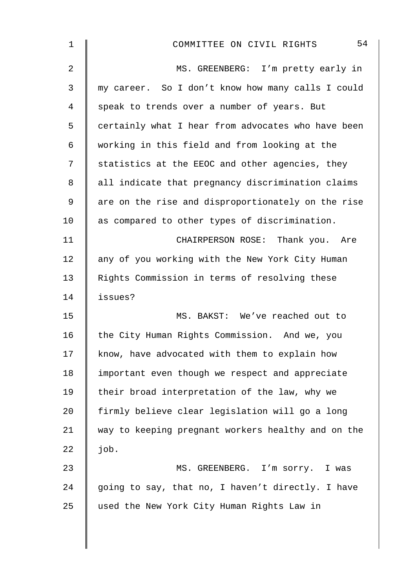| $\mathbf 1$    | 54<br>COMMITTEE ON CIVIL RIGHTS                    |
|----------------|----------------------------------------------------|
| $\overline{2}$ | MS. GREENBERG: I'm pretty early in                 |
| 3              | my career. So I don't know how many calls I could  |
| 4              | speak to trends over a number of years. But        |
| 5              | certainly what I hear from advocates who have been |
| $\epsilon$     | working in this field and from looking at the      |
| 7              | statistics at the EEOC and other agencies, they    |
| 8              | all indicate that pregnancy discrimination claims  |
| 9              | are on the rise and disproportionately on the rise |
| 10             | as compared to other types of discrimination.      |
| 11             | CHAIRPERSON ROSE: Thank you. Are                   |
| 12             | any of you working with the New York City Human    |
| 13             | Rights Commission in terms of resolving these      |
| 14             | issues?                                            |
| 15             | MS. BAKST: We've reached out to                    |
| 16             | the City Human Rights Commission. And we, you      |
| 17             | know, have advocated with them to explain how      |
| 18             | important even though we respect and appreciate    |
| 19             | their broad interpretation of the law, why we      |
| 20             | firmly believe clear legislation will go a long    |
| 21             | way to keeping pregnant workers healthy and on the |
| 22             | job.                                               |
| 23             | MS. GREENBERG. I'm sorry. I was                    |
| 24             | going to say, that no, I haven't directly. I have  |
| 25             | used the New York City Human Rights Law in         |
|                |                                                    |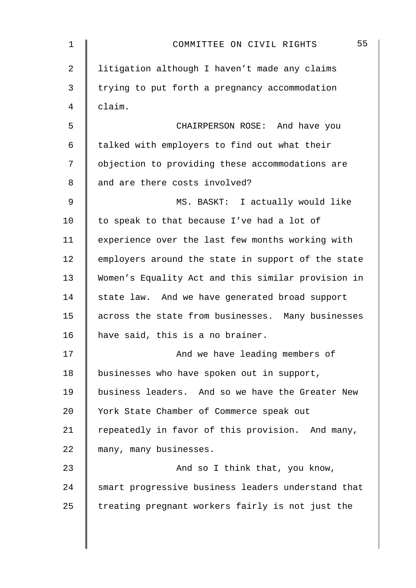| $\mathbf 1$ | 55<br>COMMITTEE ON CIVIL RIGHTS                    |
|-------------|----------------------------------------------------|
| 2           | litigation although I haven't made any claims      |
| 3           | trying to put forth a pregnancy accommodation      |
| 4           | claim.                                             |
| 5           | CHAIRPERSON ROSE: And have you                     |
| 6           | talked with employers to find out what their       |
| 7           | objection to providing these accommodations are    |
| 8           | and are there costs involved?                      |
| $\mathsf 9$ | MS. BASKT: I actually would like                   |
| 10          | to speak to that because I've had a lot of         |
| 11          | experience over the last few months working with   |
| 12          | employers around the state in support of the state |
| 13          | Women's Equality Act and this similar provision in |
| 14          | state law. And we have generated broad support     |
| 15          | across the state from businesses. Many businesses  |
| 16          | have said, this is a no brainer.                   |
| 17          | And we have leading members of                     |
| 18          | businesses who have spoken out in support,         |
| 19          | business leaders. And so we have the Greater New   |
| 20          | York State Chamber of Commerce speak out           |
| 21          | repeatedly in favor of this provision. And many,   |
| 22          | many, many businesses.                             |
| 23          | And so I think that, you know,                     |
| 24          | smart progressive business leaders understand that |
| 25          | treating pregnant workers fairly is not just the   |
|             |                                                    |
|             |                                                    |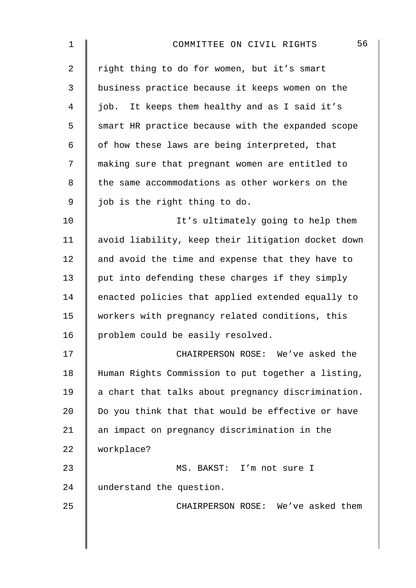| 1              | 56<br>COMMITTEE ON CIVIL RIGHTS                    |
|----------------|----------------------------------------------------|
| $\overline{2}$ | right thing to do for women, but it's smart        |
| 3              | business practice because it keeps women on the    |
| 4              | job. It keeps them healthy and as I said it's      |
| 5              | smart HR practice because with the expanded scope  |
| 6              | of how these laws are being interpreted, that      |
| 7              | making sure that pregnant women are entitled to    |
| 8              | the same accommodations as other workers on the    |
| $\mathsf 9$    | job is the right thing to do.                      |
| 10             | It's ultimately going to help them                 |
| 11             | avoid liability, keep their litigation docket down |
| 12             | and avoid the time and expense that they have to   |
| 13             | put into defending these charges if they simply    |
| 14             | enacted policies that applied extended equally to  |
| 15             | workers with pregnancy related conditions, this    |
| 16             | problem could be easily resolved.                  |
| 17             | CHAIRPERSON ROSE: We've asked the                  |
| 18             | Human Rights Commission to put together a listing, |
| 19             | a chart that talks about pregnancy discrimination. |
| 20             | Do you think that that would be effective or have  |
| 21             | an impact on pregnancy discrimination in the       |
| 22             | workplace?                                         |
| 23             | MS. BAKST: I'm not sure I                          |
| 24             | understand the question.                           |
| 25             | CHAIRPERSON ROSE: We've asked them                 |
|                |                                                    |
|                |                                                    |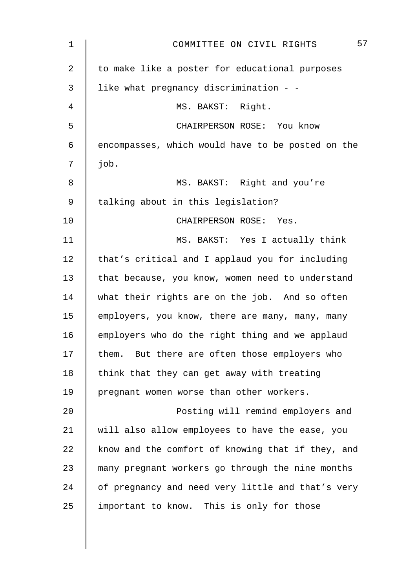| 1  | 57<br>COMMITTEE ON CIVIL RIGHTS                   |
|----|---------------------------------------------------|
| 2  | to make like a poster for educational purposes    |
| 3  | like what pregnancy discrimination - -            |
| 4  | MS. BAKST: Right.                                 |
| 5  | CHAIRPERSON ROSE: You know                        |
| 6  | encompasses, which would have to be posted on the |
| 7  | job.                                              |
| 8  | MS. BAKST: Right and you're                       |
| 9  | talking about in this legislation?                |
| 10 | CHAIRPERSON ROSE: Yes.                            |
| 11 | MS. BAKST: Yes I actually think                   |
| 12 | that's critical and I applaud you for including   |
| 13 | that because, you know, women need to understand  |
| 14 | what their rights are on the job. And so often    |
| 15 | employers, you know, there are many, many, many   |
| 16 | employers who do the right thing and we applaud   |
| 17 | them. But there are often those employers who     |
| 18 | think that they can get away with treating        |
| 19 | pregnant women worse than other workers.          |
| 20 | Posting will remind employers and                 |
| 21 | will also allow employees to have the ease, you   |
| 22 | know and the comfort of knowing that if they, and |
| 23 | many pregnant workers go through the nine months  |
| 24 | of pregnancy and need very little and that's very |
| 25 | important to know. This is only for those         |
|    |                                                   |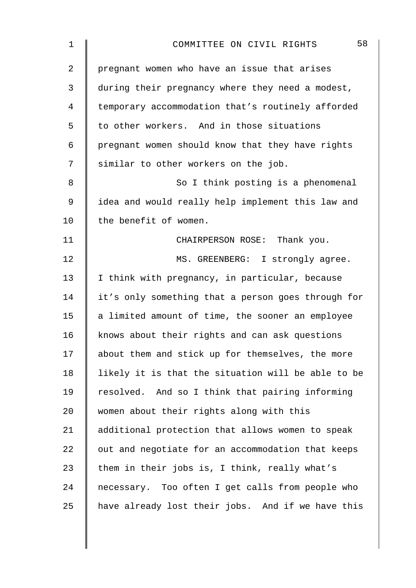| $\mathbf 1$    | 58<br>COMMITTEE ON CIVIL RIGHTS                    |
|----------------|----------------------------------------------------|
| $\overline{2}$ | pregnant women who have an issue that arises       |
| 3              | during their pregnancy where they need a modest,   |
| 4              | temporary accommodation that's routinely afforded  |
| 5              | to other workers. And in those situations          |
| 6              | pregnant women should know that they have rights   |
| 7              | similar to other workers on the job.               |
| 8              | So I think posting is a phenomenal                 |
| 9              | idea and would really help implement this law and  |
| 10             | the benefit of women.                              |
| 11             | CHAIRPERSON ROSE: Thank you.                       |
| 12             | MS. GREENBERG: I strongly agree.                   |
| 13             | I think with pregnancy, in particular, because     |
| 14             | it's only something that a person goes through for |
| 15             | a limited amount of time, the sooner an employee   |
| 16             | knows about their rights and can ask questions     |
| 17             | about them and stick up for themselves, the more   |
| 18             | likely it is that the situation will be able to be |
| 19             | resolved. And so I think that pairing informing    |
| 20             | women about their rights along with this           |
| 21             | additional protection that allows women to speak   |
| 22             | out and negotiate for an accommodation that keeps  |
| 23             | them in their jobs is, I think, really what's      |
| 24             | necessary. Too often I get calls from people who   |
| 25             | have already lost their jobs. And if we have this  |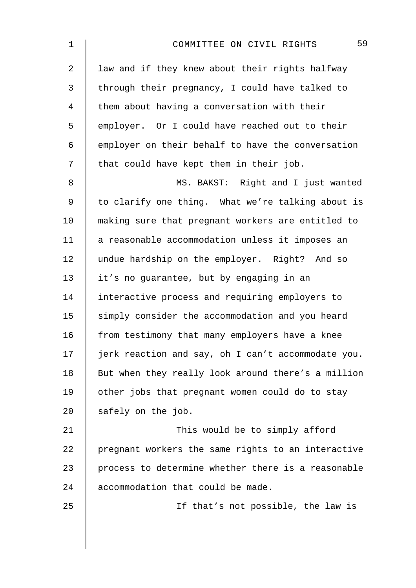| $\mathbf 1$    | 59<br>COMMITTEE ON CIVIL RIGHTS                    |
|----------------|----------------------------------------------------|
| $\overline{2}$ | law and if they knew about their rights halfway    |
| $\mathfrak{Z}$ | through their pregnancy, I could have talked to    |
| $\overline{4}$ | them about having a conversation with their        |
| 5              | employer. Or I could have reached out to their     |
| 6              | employer on their behalf to have the conversation  |
| 7              | that could have kept them in their job.            |
| 8              | MS. BAKST: Right and I just wanted                 |
| $\mathsf 9$    | to clarify one thing. What we're talking about is  |
| 10             | making sure that pregnant workers are entitled to  |
| 11             | a reasonable accommodation unless it imposes an    |
| 12             | undue hardship on the employer. Right? And so      |
| 13             | it's no guarantee, but by engaging in an           |
| 14             | interactive process and requiring employers to     |
| 15             | simply consider the accommodation and you heard    |
| 16             | from testimony that many employers have a knee     |
| 17             | jerk reaction and say, oh I can't accommodate you. |
| 18             | But when they really look around there's a million |
| 19             | other jobs that pregnant women could do to stay    |
| 20             | safely on the job.                                 |
| 21             | This would be to simply afford                     |
| 22             | pregnant workers the same rights to an interactive |
| 23             | process to determine whether there is a reasonable |
| 24             | accommodation that could be made.                  |
| 25             | If that's not possible, the law is                 |
|                |                                                    |
|                |                                                    |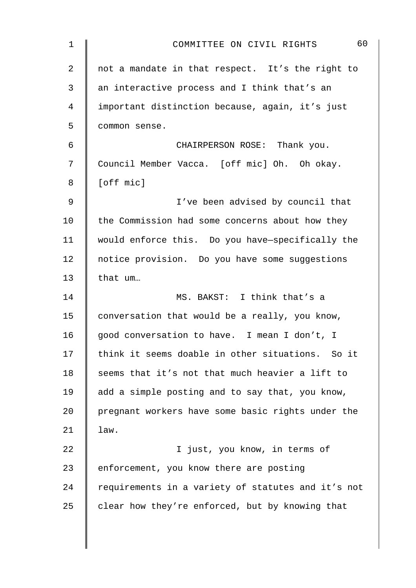| $\mathbf 1$    | 60<br>COMMITTEE ON CIVIL RIGHTS                    |
|----------------|----------------------------------------------------|
| $\overline{2}$ | not a mandate in that respect. It's the right to   |
| 3              | an interactive process and I think that's an       |
| 4              | important distinction because, again, it's just    |
| 5              | common sense.                                      |
| 6              | CHAIRPERSON ROSE: Thank you.                       |
| 7              | Council Member Vacca. [off mic] Oh. Oh okay.       |
| 8              | [off mic]                                          |
| $\mathsf 9$    | I've been advised by council that                  |
| 10             | the Commission had some concerns about how they    |
| 11             | would enforce this. Do you have-specifically the   |
| 12             | notice provision. Do you have some suggestions     |
| 13             | that um                                            |
| 14             | MS. BAKST: I think that's a                        |
| 15             | conversation that would be a really, you know,     |
| 16             | good conversation to have. I mean I don't, I       |
| 17             | think it seems doable in other situations. So it   |
| 18             | seems that it's not that much heavier a lift to    |
| 19             | add a simple posting and to say that, you know,    |
| 20             | pregnant workers have some basic rights under the  |
| 21             | law.                                               |
| 22             | I just, you know, in terms of                      |
| 23             | enforcement, you know there are posting            |
| 24             | requirements in a variety of statutes and it's not |
| 25             | clear how they're enforced, but by knowing that    |
|                |                                                    |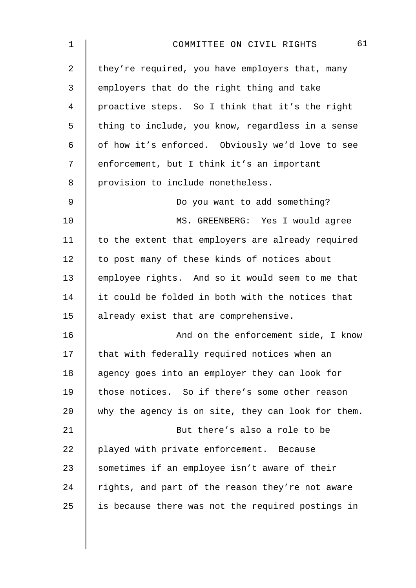| 1            | 61<br>COMMITTEE ON CIVIL RIGHTS                    |
|--------------|----------------------------------------------------|
| 2            | they're required, you have employers that, many    |
| $\mathbf{3}$ | employers that do the right thing and take         |
| 4            | proactive steps. So I think that it's the right    |
| 5            | thing to include, you know, regardless in a sense  |
| 6            | of how it's enforced. Obviously we'd love to see   |
| 7            | enforcement, but I think it's an important         |
| 8            | provision to include nonetheless.                  |
| 9            | Do you want to add something?                      |
| 10           | MS. GREENBERG: Yes I would agree                   |
| 11           | to the extent that employers are already required  |
| 12           | to post many of these kinds of notices about       |
| 13           | employee rights. And so it would seem to me that   |
| 14           | it could be folded in both with the notices that   |
| 15           | already exist that are comprehensive.              |
| 16           | And on the enforcement side, I know                |
| 17           | that with federally required notices when an       |
| 18           | agency goes into an employer they can look for     |
| 19           | those notices. So if there's some other reason     |
| 20           | why the agency is on site, they can look for them. |
| 21           | But there's also a role to be                      |
| 22           | played with private enforcement. Because           |
| 23           | sometimes if an employee isn't aware of their      |
| 24           | rights, and part of the reason they're not aware   |
| 25           | is because there was not the required postings in  |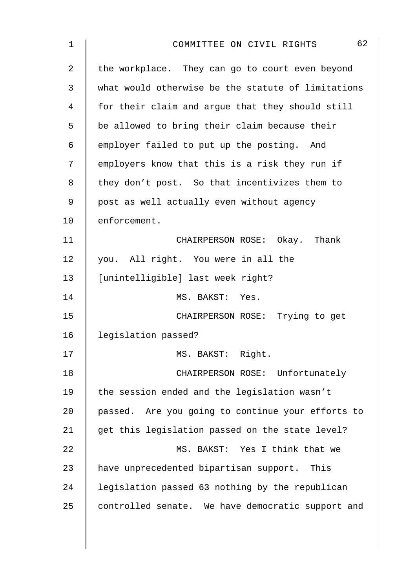| 1              | 62<br>COMMITTEE ON CIVIL RIGHTS                    |
|----------------|----------------------------------------------------|
| $\overline{2}$ | the workplace. They can go to court even beyond    |
| 3              | what would otherwise be the statute of limitations |
| 4              | for their claim and argue that they should still   |
| 5              | be allowed to bring their claim because their      |
| 6              | employer failed to put up the posting. And         |
| 7              | employers know that this is a risk they run if     |
| 8              | they don't post. So that incentivizes them to      |
| 9              | post as well actually even without agency          |
| 10             | enforcement.                                       |
| 11             | CHAIRPERSON ROSE: Okay. Thank                      |
| 12             | you. All right. You were in all the                |
| 13             | [unintelligible] last week right?                  |
| 14             | MS. BAKST: Yes.                                    |
| 15             | CHAIRPERSON ROSE: Trying to get                    |
| 16             | legislation passed?                                |
| 17             | MS. BAKST: Right.                                  |
| 18             | CHAIRPERSON ROSE: Unfortunately                    |
| 19             | the session ended and the legislation wasn't       |
| 20             | passed. Are you going to continue your efforts to  |
| 21             | get this legislation passed on the state level?    |
| 22             | MS. BAKST: Yes I think that we                     |
| 23             | have unprecedented bipartisan support. This        |
| 24             | legislation passed 63 nothing by the republican    |
| 25             | controlled senate. We have democratic support and  |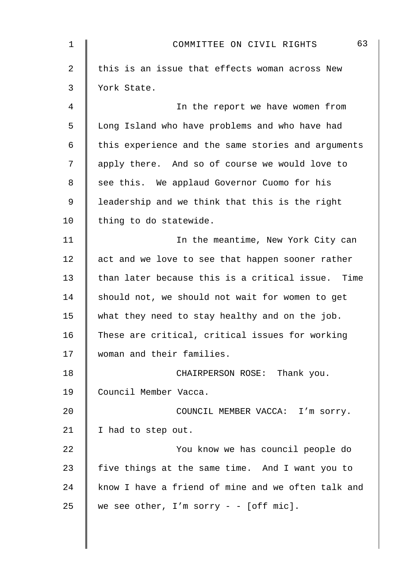| $\mathbf 1$ | 63<br>COMMITTEE ON CIVIL RIGHTS                    |
|-------------|----------------------------------------------------|
| 2           | this is an issue that effects woman across New     |
| 3           | York State.                                        |
| 4           | In the report we have women from                   |
| 5           | Long Island who have problems and who have had     |
| 6           | this experience and the same stories and arguments |
| 7           | apply there. And so of course we would love to     |
| 8           | see this. We applaud Governor Cuomo for his        |
| 9           | leadership and we think that this is the right     |
| 10          | thing to do statewide.                             |
| 11          | In the meantime, New York City can                 |
| 12          | act and we love to see that happen sooner rather   |
| 13          | than later because this is a critical issue. Time  |
| 14          | should not, we should not wait for women to get    |
| 15          | what they need to stay healthy and on the job.     |
| 16          | These are critical, critical issues for working    |
| 17          | woman and their families.                          |
| 18          | CHAIRPERSON ROSE: Thank you.                       |
| 19          | Council Member Vacca.                              |
| 20          | COUNCIL MEMBER VACCA: I'm sorry.                   |
| 21          | I had to step out.                                 |
| 22          | You know we has council people do                  |
| 23          | five things at the same time. And I want you to    |
| 24          | know I have a friend of mine and we often talk and |
| 25          | we see other, $I'm$ sorry - - [off mic].           |
|             |                                                    |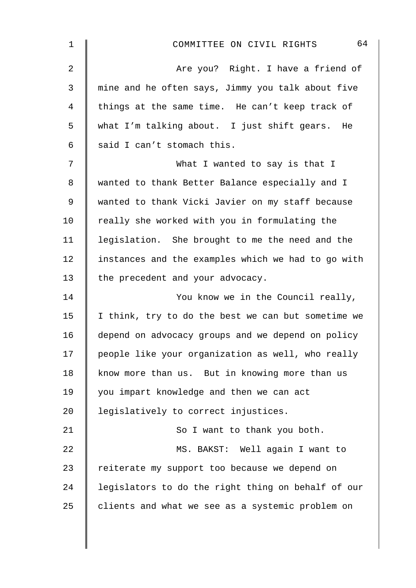| 1              | 64<br>COMMITTEE ON CIVIL RIGHTS                    |
|----------------|----------------------------------------------------|
| $\overline{2}$ | Are you? Right. I have a friend of                 |
| 3              | mine and he often says, Jimmy you talk about five  |
| 4              | things at the same time. He can't keep track of    |
| 5              | what I'm talking about. I just shift gears.<br>He  |
| 6              | said I can't stomach this.                         |
| 7              | What I wanted to say is that I                     |
| 8              | wanted to thank Better Balance especially and I    |
| 9              | wanted to thank Vicki Javier on my staff because   |
| 10             | really she worked with you in formulating the      |
| 11             | legislation. She brought to me the need and the    |
| 12             | instances and the examples which we had to go with |
| 13             | the precedent and your advocacy.                   |
| 14             | You know we in the Council really,                 |
| 15             | I think, try to do the best we can but sometime we |
| 16             | depend on advocacy groups and we depend on policy  |
| 17             | people like your organization as well, who really  |
| 18             | know more than us. But in knowing more than us     |
| 19             | you impart knowledge and then we can act           |
| 20             | legislatively to correct injustices.               |
| 21             | So I want to thank you both.                       |
| 22             | MS. BAKST: Well again I want to                    |
| 23             | reiterate my support too because we depend on      |
| 24             | legislators to do the right thing on behalf of our |
| 25             | clients and what we see as a systemic problem on   |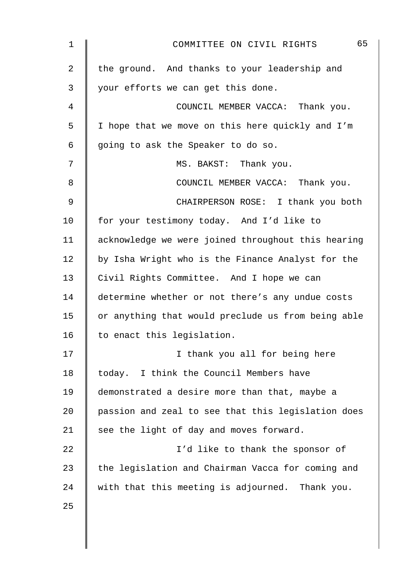| 1              | 65<br>COMMITTEE ON CIVIL RIGHTS                    |
|----------------|----------------------------------------------------|
| $\overline{2}$ | the ground. And thanks to your leadership and      |
| 3              | your efforts we can get this done.                 |
| 4              | COUNCIL MEMBER VACCA: Thank you.                   |
| 5              | I hope that we move on this here quickly and I'm   |
| 6              | going to ask the Speaker to do so.                 |
| 7              | MS. BAKST: Thank you.                              |
| 8              | COUNCIL MEMBER VACCA: Thank you.                   |
| 9              | CHAIRPERSON ROSE: I thank you both                 |
| 10             | for your testimony today. And I'd like to          |
| 11             | acknowledge we were joined throughout this hearing |
| 12             | by Isha Wright who is the Finance Analyst for the  |
| 13             | Civil Rights Committee. And I hope we can          |
| 14             | determine whether or not there's any undue costs   |
| 15             | or anything that would preclude us from being able |
| 16             | to enact this legislation.                         |
| 17             | I thank you all for being here                     |
| 18             | today. I think the Council Members have            |
| 19             | demonstrated a desire more than that, maybe a      |
| 20             | passion and zeal to see that this legislation does |
| 21             | see the light of day and moves forward.            |
| 22             | I'd like to thank the sponsor of                   |
| 23             | the legislation and Chairman Vacca for coming and  |
| 24             | with that this meeting is adjourned. Thank you.    |
| 25             |                                                    |
|                |                                                    |
|                |                                                    |